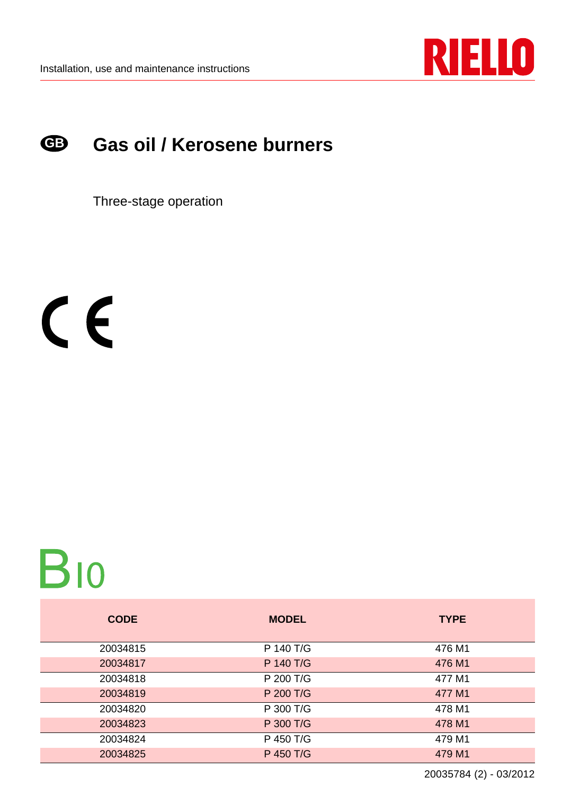

#### **Gas oil / Kerosene burners GB**

Three-stage operation

 $C<sub>f</sub>$ 

# **B10**

| <b>CODE</b> | <b>MODEL</b> | <b>TYPE</b> |
|-------------|--------------|-------------|
| 20034815    | P 140 T/G    | 476 M1      |
| 20034817    | P 140 T/G    | 476 M1      |
| 20034818    | P 200 T/G    | 477 M1      |
| 20034819    | P 200 T/G    | 477 M1      |
| 20034820    | P 300 T/G    | 478 M1      |
| 20034823    | P 300 T/G    | 478 M1      |
| 20034824    | P 450 T/G    | 479 M1      |
| 20034825    | P 450 T/G    | 479 M1      |

20035784 (2) - 03/2012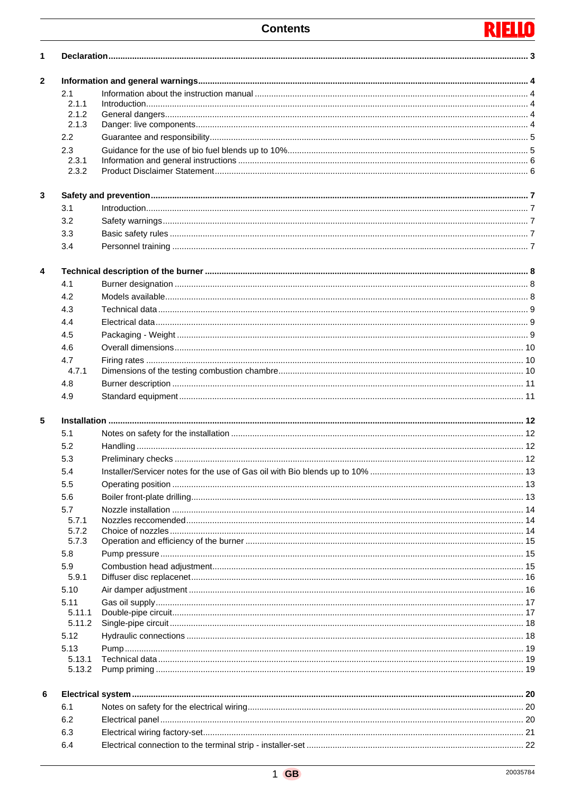#### **RIELL** T

| 1                       |                  |  |  |
|-------------------------|------------------|--|--|
| 2                       |                  |  |  |
|                         | 2.1              |  |  |
|                         | 2.1.1            |  |  |
|                         | 2.1.2<br>2.1.3   |  |  |
|                         | 2.2              |  |  |
|                         |                  |  |  |
|                         | 2.3<br>2.3.1     |  |  |
|                         | 2.3.2            |  |  |
| 3                       |                  |  |  |
|                         | 3.1              |  |  |
|                         | 3.2              |  |  |
|                         | 3.3              |  |  |
|                         | 3.4              |  |  |
| $\overline{\mathbf{4}}$ |                  |  |  |
|                         | 4.1              |  |  |
|                         | 4.2              |  |  |
|                         | 4.3              |  |  |
|                         |                  |  |  |
|                         | 4.4              |  |  |
|                         | 4.5              |  |  |
|                         | 4.6              |  |  |
|                         | 4.7              |  |  |
|                         | 4.7.1            |  |  |
|                         | 4.8              |  |  |
|                         | 4.9              |  |  |
| 5                       |                  |  |  |
|                         | 5.1              |  |  |
|                         | 5.2              |  |  |
|                         | 5.3              |  |  |
|                         | 5.4              |  |  |
|                         | 5.5              |  |  |
|                         | 5.6              |  |  |
|                         | 5.7              |  |  |
|                         | 5.7.1            |  |  |
|                         | 5.7.2            |  |  |
|                         | 5.7.3            |  |  |
|                         | 5.8              |  |  |
|                         | 5.9              |  |  |
|                         | 5.9.1            |  |  |
|                         | 5.10             |  |  |
|                         | 5.11             |  |  |
|                         | 5.11.1           |  |  |
|                         | 5.11.2           |  |  |
|                         | 5.12             |  |  |
|                         | 5.13             |  |  |
|                         | 5.13.1<br>5.13.2 |  |  |
| 6                       |                  |  |  |
|                         | 6.1              |  |  |
|                         |                  |  |  |
|                         | 6.2              |  |  |
|                         | 6.3              |  |  |
|                         | 6.4              |  |  |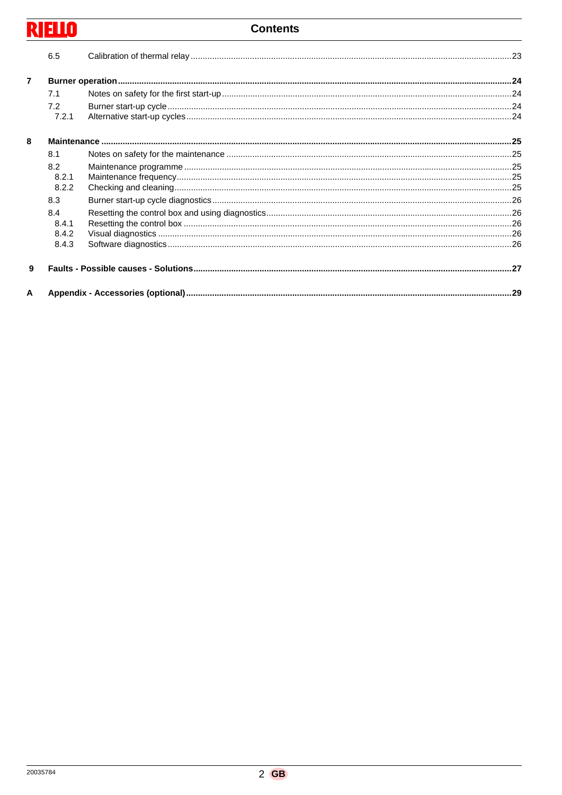# **RIELLO**

### **Contents**

|                | 6.5   |  |
|----------------|-------|--|
| $\overline{7}$ |       |  |
|                | 7.1   |  |
|                | 7.2   |  |
|                | 7.2.1 |  |
| 8              |       |  |
|                | 8.1   |  |
|                | 8.2   |  |
|                | 8.2.1 |  |
|                | 8.2.2 |  |
|                | 8.3   |  |
|                | 8.4   |  |
|                | 8.4.1 |  |
|                | 8.4.2 |  |
|                | 8.4.3 |  |
| 9              |       |  |
| A              |       |  |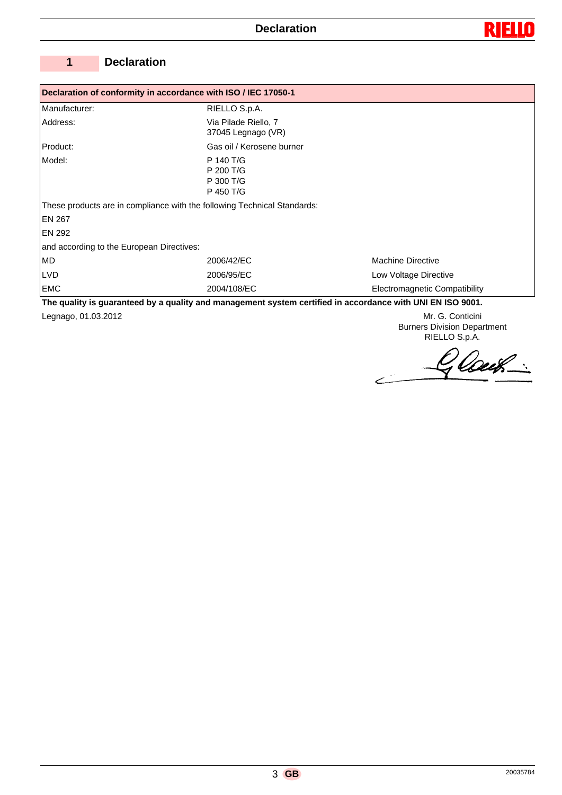

# **1 Declaration**

| Declaration of conformity in accordance with ISO / IEC 17050-1 |                                                                                                                                |                               |  |  |  |  |
|----------------------------------------------------------------|--------------------------------------------------------------------------------------------------------------------------------|-------------------------------|--|--|--|--|
| Manufacturer:                                                  | RIELLO S.p.A.                                                                                                                  |                               |  |  |  |  |
| Address:                                                       | Via Pilade Riello, 7<br>37045 Legnago (VR)                                                                                     |                               |  |  |  |  |
| Product:                                                       | Gas oil / Kerosene burner                                                                                                      |                               |  |  |  |  |
| P 140 T/G<br>Model:<br>P 200 T/G<br>P 300 T/G<br>P 450 T/G     |                                                                                                                                |                               |  |  |  |  |
|                                                                | These products are in compliance with the following Technical Standards:                                                       |                               |  |  |  |  |
| EN 267                                                         |                                                                                                                                |                               |  |  |  |  |
| <b>EN 292</b>                                                  |                                                                                                                                |                               |  |  |  |  |
| and according to the European Directives:                      |                                                                                                                                |                               |  |  |  |  |
| <b>MD</b>                                                      | 2006/42/EC                                                                                                                     | <b>Machine Directive</b>      |  |  |  |  |
| <b>LVD</b>                                                     | 2006/95/EC                                                                                                                     | Low Voltage Directive         |  |  |  |  |
| <b>EMC</b>                                                     | 2004/108/EC<br>1000 The quality is quaranteed by a quality and management system certified in accordance with LINI FN ISO 9001 | Electromagnetic Compatibility |  |  |  |  |

**The quality is guaranteed by a quality and management system certified in accordance with UNI EN ISO 9001.** Legnago, 01.03.2012 Mr. G. Conticini

Burners Division Department RIELLO S.p.A.

Glouk.  $\angle$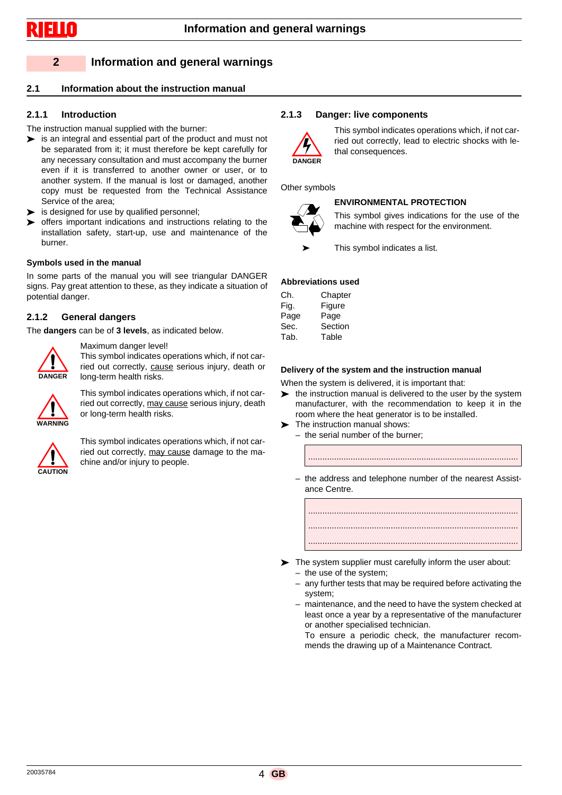# **2 Information and general warnings**

#### **2.1 Information about the instruction manual**

### **2.1.1 Introduction**

- The instruction manual supplied with the burner:
- is an integral and essential part of the product and must not be separated from it; it must therefore be kept carefully for any necessary consultation and must accompany the burner even if it is transferred to another owner or user, or to another system. If the manual is lost or damaged, another copy must be requested from the Technical Assistance Service of the area;
- is designed for use by qualified personnel;
- offers important indications and instructions relating to the installation safety, start-up, use and maintenance of the burner.

#### **Symbols used in the manual**

In some parts of the manual you will see triangular DANGER signs. Pay great attention to these, as they indicate a situation of potential danger.

#### **2.1.2 General dangers**

The **dangers** can be of **3 levels**, as indicated below.



Maximum danger level! This symbol indicates operations which, if not carried out correctly, cause serious injury, death or long-term health risks.



This symbol indicates operations which, if not carried out correctly, may cause serious injury, death or long-term health risks.



This symbol indicates operations which, if not carried out correctly, may cause damage to the machine and/or injury to people.

#### **2.1.3 Danger: live components**



This symbol indicates operations which, if not carried out correctly, lead to electric shocks with lethal consequences.

Other symbols

# **ENVIRONMENTAL PROTECTION**

This symbol gives indications for the use of the machine with respect for the environment.

This symbol indicates a list.

#### **Abbreviations used**

| Ch.  | Chapter |
|------|---------|
| Fig. | Figure  |
| Page | Page    |
| Sec. | Section |
| Tab. | Table   |
|      |         |

#### **Delivery of the system and the instruction manual**

When the system is delivered, it is important that:

- $\blacktriangleright$  the instruction manual is delivered to the user by the system manufacturer, with the recommendation to keep it in the room where the heat generator is to be installed.
- The instruction manual shows:
	- the serial number of the burner;



.........................................................................................

- The system supplier must carefully inform the user about:
	- the use of the system;
	- any further tests that may be required before activating the system;
	- maintenance, and the need to have the system checked at least once a year by a representative of the manufacturer or another specialised technician.

To ensure a periodic check, the manufacturer recommends the drawing up of a Maintenance Contract.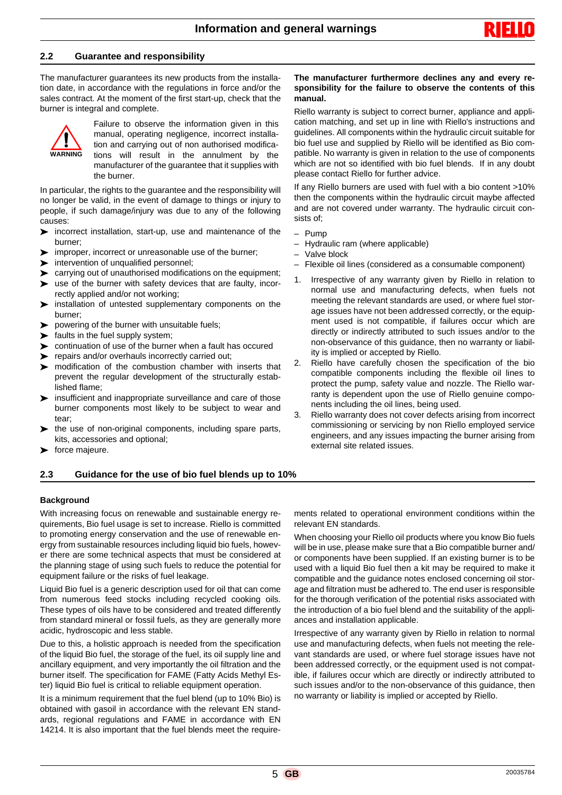#### **2.2 Guarantee and responsibility**

The manufacturer guarantees its new products from the installation date, in accordance with the regulations in force and/or the sales contract. At the moment of the first start-up, check that the burner is integral and complete.



Failure to observe the information given in this manual, operating negligence, incorrect installation and carrying out of non authorised modifications will result in the annulment by the manufacturer of the guarantee that it supplies with the burner.

In particular, the rights to the guarantee and the responsibility will no longer be valid, in the event of damage to things or injury to people, if such damage/injury was due to any of the following causes:

- $\triangleright$  incorrect installation, start-up, use and maintenance of the burner;
- improper, incorrect or unreasonable use of the burner;
- $\triangleright$  intervention of unqualified personnel:
- carrying out of unauthorised modifications on the equipment;
- use of the burner with safety devices that are faulty, incorrectly applied and/or not working;
- installation of untested supplementary components on the burner;
- $\triangleright$  powering of the burner with unsuitable fuels;
- $\blacktriangleright$  faults in the fuel supply system;
- continuation of use of the burner when a fault has occured
- $\blacktriangleright$  repairs and/or overhauls incorrectly carried out;
- modification of the combustion chamber with inserts that prevent the regular development of the structurally established flame;
- $\triangleright$  insufficient and inappropriate surveillance and care of those burner components most likely to be subject to wear and tear;
- the use of non-original components, including spare parts, kits, accessories and optional;
- $\blacktriangleright$  force majeure.

#### **2.3 Guidance for the use of bio fuel blends up to 10%**

#### **Background**

With increasing focus on renewable and sustainable energy requirements, Bio fuel usage is set to increase. Riello is committed to promoting energy conservation and the use of renewable energy from sustainable resources including liquid bio fuels, however there are some technical aspects that must be considered at the planning stage of using such fuels to reduce the potential for equipment failure or the risks of fuel leakage.

Liquid Bio fuel is a generic description used for oil that can come from numerous feed stocks including recycled cooking oils. These types of oils have to be considered and treated differently from standard mineral or fossil fuels, as they are generally more acidic, hydroscopic and less stable.

Due to this, a holistic approach is needed from the specification of the liquid Bio fuel, the storage of the fuel, its oil supply line and ancillary equipment, and very importantly the oil filtration and the burner itself. The specification for FAME (Fatty Acids Methyl Ester) liquid Bio fuel is critical to reliable equipment operation.

It is a minimum requirement that the fuel blend (up to 10% Bio) is obtained with gasoil in accordance with the relevant EN standards, regional regulations and FAME in accordance with EN 14214. It is also important that the fuel blends meet the require-

#### **The manufacturer furthermore declines any and every responsibility for the failure to observe the contents of this manual.**

Riello warranty is subject to correct burner, appliance and application matching, and set up in line with Riello's instructions and guidelines. All components within the hydraulic circuit suitable for bio fuel use and supplied by Riello will be identified as Bio compatible. No warranty is given in relation to the use of components which are not so identified with bio fuel blends. If in any doubt please contact Riello for further advice.

If any Riello burners are used with fuel with a bio content >10% then the components within the hydraulic circuit maybe affected and are not covered under warranty. The hydraulic circuit consists of;

- Pump
- Hydraulic ram (where applicable)
- Valve block
- Flexible oil lines (considered as a consumable component)
- 1. Irrespective of any warranty given by Riello in relation to normal use and manufacturing defects, when fuels not meeting the relevant standards are used, or where fuel storage issues have not been addressed correctly, or the equipment used is not compatible, if failures occur which are directly or indirectly attributed to such issues and/or to the non-observance of this guidance, then no warranty or liability is implied or accepted by Riello.
- 2. Riello have carefully chosen the specification of the bio compatible components including the flexible oil lines to protect the pump, safety value and nozzle. The Riello warranty is dependent upon the use of Riello genuine components including the oil lines, being used.
- 3. Riello warranty does not cover defects arising from incorrect commissioning or servicing by non Riello employed service engineers, and any issues impacting the burner arising from external site related issues.

ments related to operational environment conditions within the relevant EN standards.

When choosing your Riello oil products where you know Bio fuels will be in use, please make sure that a Bio compatible burner and/ or components have been supplied. If an existing burner is to be used with a liquid Bio fuel then a kit may be required to make it compatible and the guidance notes enclosed concerning oil storage and filtration must be adhered to. The end user is responsible for the thorough verification of the potential risks associated with the introduction of a bio fuel blend and the suitability of the appliances and installation applicable.

Irrespective of any warranty given by Riello in relation to normal use and manufacturing defects, when fuels not meeting the relevant standards are used, or where fuel storage issues have not been addressed correctly, or the equipment used is not compatible, if failures occur which are directly or indirectly attributed to such issues and/or to the non-observance of this guidance, then no warranty or liability is implied or accepted by Riello.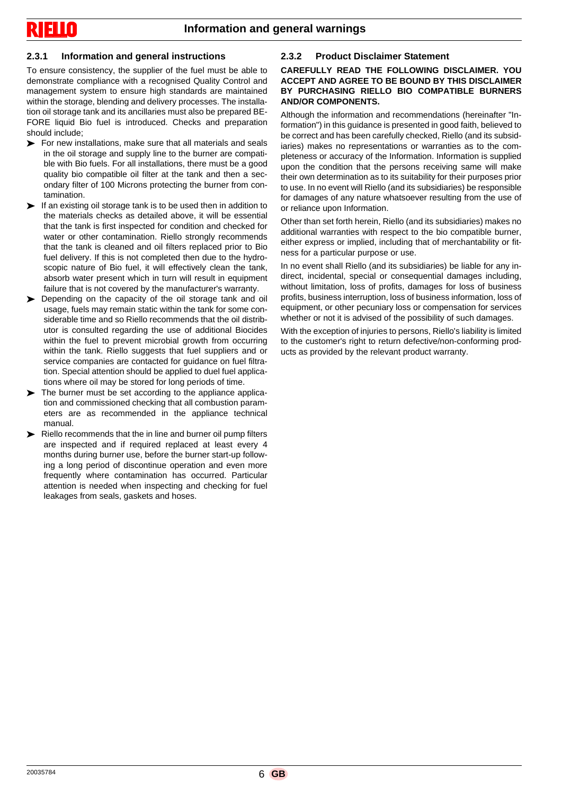# **2.3.1 Information and general instructions**

To ensure consistency, the supplier of the fuel must be able to demonstrate compliance with a recognised Quality Control and management system to ensure high standards are maintained within the storage, blending and delivery processes. The installation oil storage tank and its ancillaries must also be prepared BE-FORE liquid Bio fuel is introduced. Checks and preparation should include;

- For new installations, make sure that all materials and seals in the oil storage and supply line to the burner are compatible with Bio fuels. For all installations, there must be a good quality bio compatible oil filter at the tank and then a secondary filter of 100 Microns protecting the burner from contamination.
- $\blacktriangleright$  If an existing oil storage tank is to be used then in addition to the materials checks as detailed above, it will be essential that the tank is first inspected for condition and checked for water or other contamination. Riello strongly recommends that the tank is cleaned and oil filters replaced prior to Bio fuel delivery. If this is not completed then due to the hydroscopic nature of Bio fuel, it will effectively clean the tank, absorb water present which in turn will result in equipment failure that is not covered by the manufacturer's warranty.
- Depending on the capacity of the oil storage tank and oil usage, fuels may remain static within the tank for some considerable time and so Riello recommends that the oil distributor is consulted regarding the use of additional Biocides within the fuel to prevent microbial growth from occurring within the tank. Riello suggests that fuel suppliers and or service companies are contacted for guidance on fuel filtration. Special attention should be applied to duel fuel applications where oil may be stored for long periods of time.
- The burner must be set according to the appliance application and commissioned checking that all combustion parameters are as recommended in the appliance technical manual.
- Riello recommends that the in line and burner oil pump filters are inspected and if required replaced at least every 4 months during burner use, before the burner start-up following a long period of discontinue operation and even more frequently where contamination has occurred. Particular attention is needed when inspecting and checking for fuel leakages from seals, gaskets and hoses.

# **2.3.2 Product Disclaimer Statement**

**CAREFULLY READ THE FOLLOWING DISCLAIMER. YOU ACCEPT AND AGREE TO BE BOUND BY THIS DISCLAIMER BY PURCHASING RIELLO BIO COMPATIBLE BURNERS AND/OR COMPONENTS.**

Although the information and recommendations (hereinafter "Information") in this guidance is presented in good faith, believed to be correct and has been carefully checked, Riello (and its subsidiaries) makes no representations or warranties as to the completeness or accuracy of the Information. Information is supplied upon the condition that the persons receiving same will make their own determination as to its suitability for their purposes prior to use. In no event will Riello (and its subsidiaries) be responsible for damages of any nature whatsoever resulting from the use of or reliance upon Information.

Other than set forth herein, Riello (and its subsidiaries) makes no additional warranties with respect to the bio compatible burner, either express or implied, including that of merchantability or fitness for a particular purpose or use.

In no event shall Riello (and its subsidiaries) be liable for any indirect, incidental, special or consequential damages including, without limitation, loss of profits, damages for loss of business profits, business interruption, loss of business information, loss of equipment, or other pecuniary loss or compensation for services whether or not it is advised of the possibility of such damages.

With the exception of injuries to persons, Riello's liability is limited to the customer's right to return defective/non-conforming products as provided by the relevant product warranty.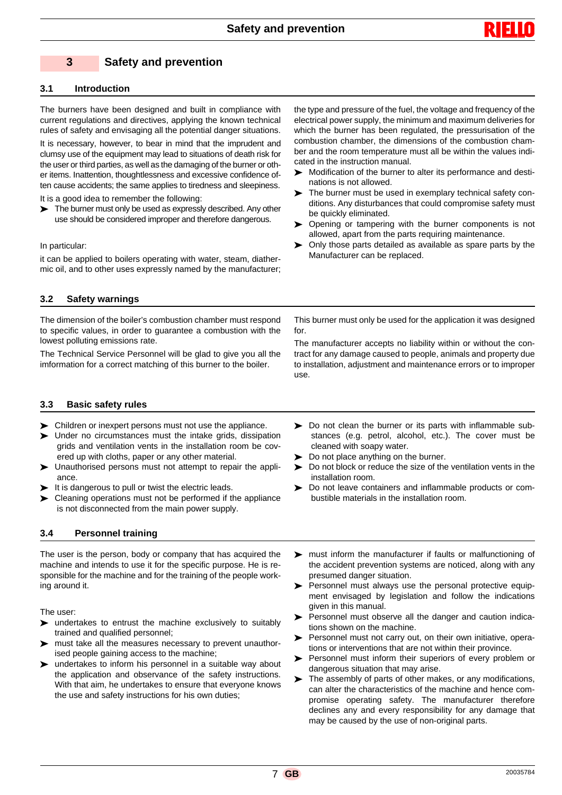

# **3 Safety and prevention**

#### **3.1 Introduction**

The burners have been designed and built in compliance with current regulations and directives, applying the known technical rules of safety and envisaging all the potential danger situations.

It is necessary, however, to bear in mind that the imprudent and clumsy use of the equipment may lead to situations of death risk for the user or third parties, as well as the damaging of the burner or other items. Inattention, thoughtlessness and excessive confidence often cause accidents; the same applies to tiredness and sleepiness.

It is a good idea to remember the following:

The burner must only be used as expressly described. Any other use should be considered improper and therefore dangerous.

#### In particular:

it can be applied to boilers operating with water, steam, diathermic oil, and to other uses expressly named by the manufacturer; the type and pressure of the fuel, the voltage and frequency of the electrical power supply, the minimum and maximum deliveries for which the burner has been regulated, the pressurisation of the combustion chamber, the dimensions of the combustion chamber and the room temperature must all be within the values indicated in the instruction manual.

- Modification of the burner to alter its performance and destinations is not allowed.
- The burner must be used in exemplary technical safety conditions. Any disturbances that could compromise safety must be quickly eliminated.
- **>** Opening or tampering with the burner components is not allowed, apart from the parts requiring maintenance.
- Only those parts detailed as available as spare parts by the Manufacturer can be replaced.

#### **3.2 Safety warnings**

The dimension of the boiler's combustion chamber must respond to specific values, in order to guarantee a combustion with the lowest polluting emissions rate.

The Technical Service Personnel will be glad to give you all the imformation for a correct matching of this burner to the boiler.

This burner must only be used for the application it was designed for.

The manufacturer accepts no liability within or without the contract for any damage caused to people, animals and property due to installation, adjustment and maintenance errors or to improper use.

#### **3.3 Basic safety rules**

- Children or inexpert persons must not use the appliance.
- Under no circumstances must the intake grids, dissipation grids and ventilation vents in the installation room be covered up with cloths, paper or any other material.
- Unauthorised persons must not attempt to repair the appliance.
- $\blacktriangleright$  It is dangerous to pull or twist the electric leads.
- Eleaning operations must not be performed if the appliance is not disconnected from the main power supply.

#### **3.4 Personnel training**

The user is the person, body or company that has acquired the machine and intends to use it for the specific purpose. He is responsible for the machine and for the training of the people working around it.

The user:

- $\triangleright$  undertakes to entrust the machine exclusively to suitably trained and qualified personnel;
- must take all the measures necessary to prevent unauthorised people gaining access to the machine;
- undertakes to inform his personnel in a suitable way about the application and observance of the safety instructions. With that aim, he undertakes to ensure that everyone knows the use and safety instructions for his own duties;
- Do not clean the burner or its parts with inflammable substances (e.g. petrol, alcohol, etc.). The cover must be cleaned with soapy water.
- Do not place anything on the burner.
- Do not block or reduce the size of the ventilation vents in the installation room.
- Do not leave containers and inflammable products or combustible materials in the installation room.
- must inform the manufacturer if faults or malfunctioning of the accident prevention systems are noticed, along with any presumed danger situation.
- $\triangleright$  Personnel must always use the personal protective equipment envisaged by legislation and follow the indications given in this manual.
- Personnel must observe all the danger and caution indications shown on the machine.
- Personnel must not carry out, on their own initiative, operations or interventions that are not within their province.
- Personnel must inform their superiors of every problem or dangerous situation that may arise.
- The assembly of parts of other makes, or any modifications, can alter the characteristics of the machine and hence compromise operating safety. The manufacturer therefore declines any and every responsibility for any damage that may be caused by the use of non-original parts.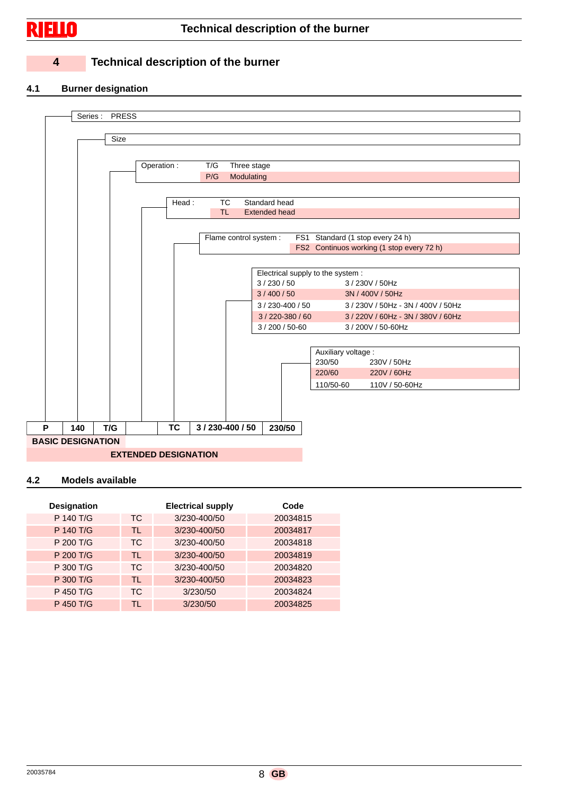

# **Technical description of the burner**

# **4 Technical description of the burner**

#### **4.1 Burner designation**



#### **4.2 Models available**

| <b>Designation</b> |           | <b>Electrical supply</b> | Code     |
|--------------------|-----------|--------------------------|----------|
| P 140 T/G          | TC.       | 3/230-400/50             | 20034815 |
| P 140 T/G          | TL.       | 3/230-400/50             | 20034817 |
| P 200 T/G          | TC.       | 3/230-400/50             | 20034818 |
| P 200 T/G          | TL.       | 3/230-400/50             | 20034819 |
| P 300 T/G          | TC.       | 3/230-400/50             | 20034820 |
| P 300 T/G          | TL        | 3/230-400/50             | 20034823 |
| P 450 T/G          | <b>TC</b> | 3/230/50                 | 20034824 |
| P 450 T/G          | TI.       | 3/230/50                 | 20034825 |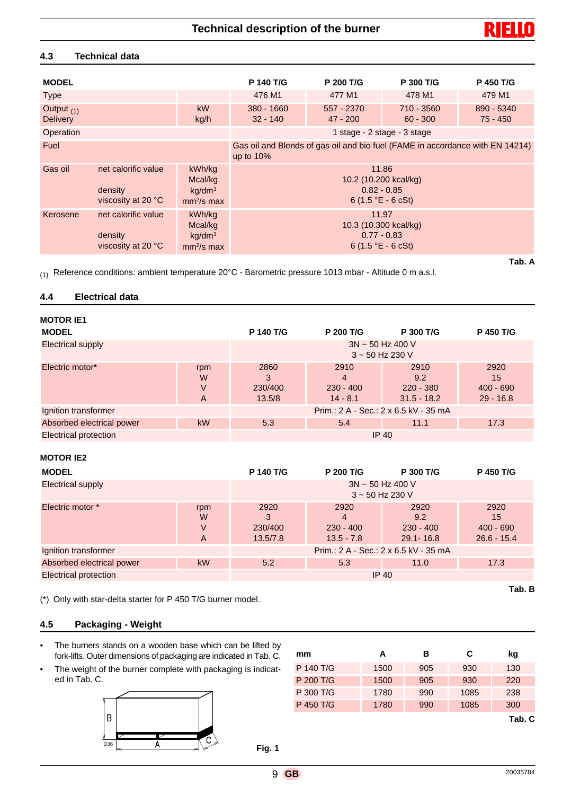#### **4.3 Technical data**

| <b>MODEL</b>                    |                                                      |                                                        | P 140 T/G                                                                                      | P 200 T/G                                                                               | P 300 T/G                | <b>P 450 T/G</b>         |
|---------------------------------|------------------------------------------------------|--------------------------------------------------------|------------------------------------------------------------------------------------------------|-----------------------------------------------------------------------------------------|--------------------------|--------------------------|
| <b>Type</b>                     |                                                      |                                                        | 476 M1                                                                                         | 477 M1                                                                                  | 478 M1                   | 479 M1                   |
| Output $(1)$<br><b>Delivery</b> |                                                      | <b>kW</b><br>kg/h                                      | $380 - 1660$<br>$32 - 140$                                                                     | 557 - 2370<br>$47 - 200$                                                                | 710 - 3560<br>$60 - 300$ | 890 - 5340<br>$75 - 450$ |
| Operation                       |                                                      |                                                        |                                                                                                | 1 stage - 2 stage - 3 stage                                                             |                          |                          |
| Fuel                            |                                                      |                                                        | Gas oil and Blends of gas oil and bio fuel (FAME in accordance with EN 14214)<br>up to $10\%$  |                                                                                         |                          |                          |
| Gas oil                         | net calorific value<br>density<br>viscosity at 20 °C | kWh/kg<br>Mcal/kg<br>kg/dm <sup>3</sup><br>$mm2/s$ max | 11.86<br>10.2 (10.200 kcal/kg)<br>$0.82 - 0.85$<br>6 $(1.5 \text{ }^{\circ}E - 6 \text{ cSt})$ |                                                                                         |                          |                          |
| Kerosene                        | net calorific value<br>density<br>viscosity at 20 °C | kWh/kg<br>Mcal/kg<br>kg/dm <sup>3</sup><br>$mm2/s$ max |                                                                                                | 11.97<br>10.3 (10.300 kcal/kg)<br>$0.77 - 0.83$<br>6 $(1.5 \text{ °E} - 6 \text{ cSt})$ |                          |                          |
|                                 |                                                      |                                                        |                                                                                                |                                                                                         |                          | Tab. A                   |

(1) Reference conditions: ambient temperature  $20^{\circ}$ C - Barometric pressure 1013 mbar - Altitude 0 m a.s.l.

#### **4.4 Electrical data**

| <b>MOTOR IE1</b>          |                                               |                                |                                        |                                             |                                          |
|---------------------------|-----------------------------------------------|--------------------------------|----------------------------------------|---------------------------------------------|------------------------------------------|
| <b>MODEL</b>              |                                               | <b>P 140 T/G</b>               | P 200 T/G                              | P 300 T/G                                   | P 450 T/G                                |
| Electrical supply         | $3N \sim 50$ Hz 400 V<br>$3 \sim 50$ Hz 230 V |                                |                                        |                                             |                                          |
| Electric motor*           | rpm<br>W<br>V<br>A                            | 2860<br>3<br>230/400<br>13.5/8 | 2910<br>4<br>$230 - 400$<br>$14 - 8.1$ | 2910<br>9.2<br>$220 - 380$<br>$31.5 - 18.2$ | 2920<br>15<br>$400 - 690$<br>$29 - 16.8$ |
| Ignition transformer      | Prim.: 2 A - Sec.: 2 x 6.5 kV - 35 mA         |                                |                                        |                                             |                                          |
| Absorbed electrical power | kW                                            | 5.3                            | 5.4                                    | 11.1                                        | 17.3                                     |
| Electrical protection     |                                               |                                | $IP$ 40                                |                                             |                                          |

#### **MOTOR IE2**

| <b>MODEL</b>                                                  |                    | P 140 T/G                                     | <b>P 200 T/G</b>                         | P 300 T/G                                   | P 450 T/G                                  |
|---------------------------------------------------------------|--------------------|-----------------------------------------------|------------------------------------------|---------------------------------------------|--------------------------------------------|
| <b>Electrical supply</b>                                      |                    | $3N \sim 50$ Hz 400 V<br>$3 \sim 50$ Hz 230 V |                                          |                                             |                                            |
| Electric motor *                                              | rpm<br>W<br>V<br>A | 2920<br>3<br>230/400<br>13.5/7.8              | 2920<br>4<br>$230 - 400$<br>$13.5 - 7.8$ | 2920<br>9.2<br>$230 - 400$<br>$29.1 - 16.8$ | 2920<br>15<br>$400 - 690$<br>$26.6 - 15.4$ |
| Prim.: 2 A - Sec.: 2 x 6.5 kV - 35 mA<br>Ignition transformer |                    |                                               |                                          |                                             |                                            |
| Absorbed electrical power                                     | <b>kW</b>          | 5.2                                           | 5.3                                      | 11.0                                        | 17.3                                       |
| <b>Electrical protection</b>                                  |                    |                                               | $IP$ 40                                  |                                             |                                            |

(\*) Only with star-delta starter for P 450 T/G burner model.

#### **4.5 Packaging - Weight**

- The burners stands on a wooden base which can be lifted by fork-lifts. Outer dimensions of packaging are indicated in Tab. C.
- The weight of the burner complete with packaging is indicated in Tab. C.



| mm        | А    | в   | C    | kg     |
|-----------|------|-----|------|--------|
| P 140 T/G | 1500 | 905 | 930  | 130    |
| P 200 T/G | 1500 | 905 | 930  | 220    |
| P 300 T/G | 1780 | 990 | 1085 | 238    |
| P 450 T/G | 1780 | 990 | 1085 | 300    |
|           |      |     |      | Tab. C |



**Tab. B**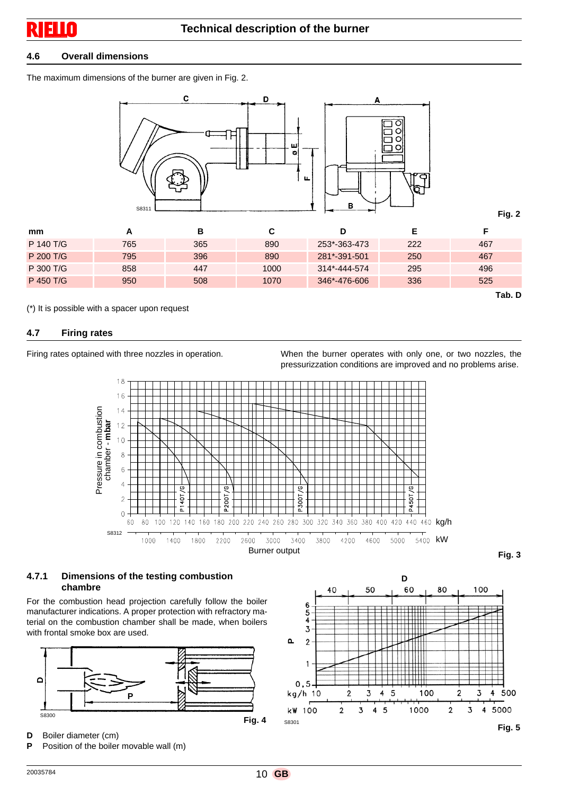#### **4.6 Overall dimensions**

The maximum dimensions of the burner are given in Fig. 2.



| mm        |     | в   |      | D            |     |        |
|-----------|-----|-----|------|--------------|-----|--------|
| P 140 T/G | 765 | 365 | 890  | 253*-363-473 | 222 | 467    |
| P 200 T/G | 795 | 396 | 890  | 281*-391-501 | 250 | 467    |
| P 300 T/G | 858 | 447 | 1000 | 314*-444-574 | 295 | 496    |
| P 450 T/G | 950 | 508 | 1070 | 346*-476-606 | 336 | 525    |
|           |     |     |      |              |     | Tab. D |

(\*) It is possible with a spacer upon request

#### **4.7 Firing rates**

Firing rates optained with three nozzles in operation. When the burner operates with only one, or two nozzles, the pressurizzation conditions are improved and no problems arise.



#### **4.7.1 Dimensions of the testing combustion chambre**

For the combustion head projection carefully follow the boiler manufacturer indications. A proper protection with refractory material on the combustion chamber shall be made, when boilers with frontal smoke box are used.



- **D** Boiler diameter (cm)
- **P** Position of the boiler movable wall (m)

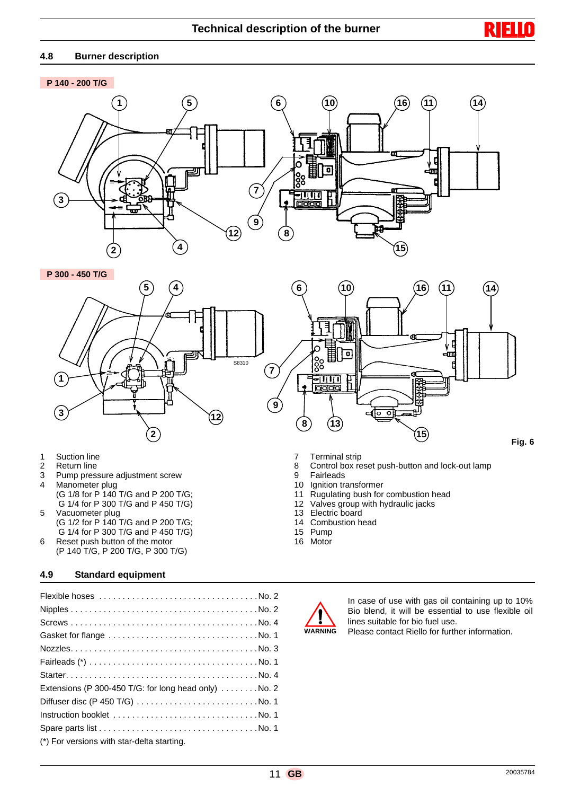#### **4.8 Burner description**

#### **P 140 - 200 T/G**



**P 300 - 450 T/G**



- 1 Suction line
- 2 Return line
- 3 Pump pressure adjustment screw<br>4 Manometer plug
- Manometer plug
- (G 1/8 for P 140 T/G and P 200 T/G; G 1/4 for P 300 T/G and P 450 T/G) 5 Vacuometer plug
- (G 1/2 for P 140 T/G and P 200 T/G; G 1/4 for P 300 T/G and P 450 T/G) 6 Reset push button of the motor
- (P 140 T/G, P 200 T/G, P 300 T/G)

# **4.9 Standard equipment**

| Extensions (P 300-450 T/G: for long head only) $\dots \dots$ No. 2 |
|--------------------------------------------------------------------|
|                                                                    |
|                                                                    |
|                                                                    |
| (*) For versions with star-delta starting.                         |

- 7 Terminal strip
- 8 Control box reset push-button and lock-out lamp
- 9 Fairleads
- 10 Ignition transformer
- 11 Rugulating bush for combustion head
- 12 Valves group with hydraulic jacks
- 13 Electric board<br>14 Combustion he
- Combustion head
- 15 Pump
- 16 Motor



In case of use with gas oil containing up to 10% Bio blend, it will be essential to use flexible oil lines suitable for bio fuel use.

R ы

Please contact Riello for further information.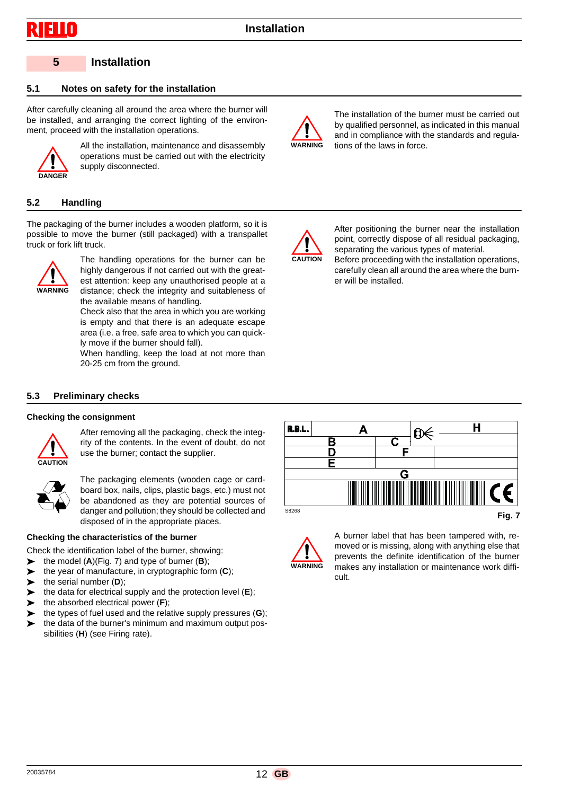#### **5 Installation**

#### **5.1 Notes on safety for the installation**

After carefully cleaning all around the area where the burner will be installed, and arranging the correct lighting of the environment, proceed with the installation operations.



All the installation, maintenance and disassembly operations must be carried out with the electricity supply disconnected.

#### **5.2 Handling**

The packaging of the burner includes a wooden platform, so it is possible to move the burner (still packaged) with a transpallet truck or fork lift truck.



The handling operations for the burner can be highly dangerous if not carried out with the greatest attention: keep any unauthorised people at a distance; check the integrity and suitableness of the available means of handling.

Check also that the area in which you are working is empty and that there is an adequate escape area (i.e. a free, safe area to which you can quickly move if the burner should fall).

When handling, keep the load at not more than 20-25 cm from the ground.



The installation of the burner must be carried out by qualified personnel, as indicated in this manual and in compliance with the standards and regulations of the laws in force.



After positioning the burner near the installation point, correctly dispose of all residual packaging, separating the various types of material. Before proceeding with the installation operations,

carefully clean all around the area where the burner will be installed.

#### **5.3 Preliminary checks**

#### **Checking the consignment**



After removing all the packaging, check the integrity of the contents. In the event of doubt, do not use the burner; contact the supplier.



The packaging elements (wooden cage or cardboard box, nails, clips, plastic bags, etc.) must not be abandoned as they are potential sources of danger and pollution; they should be collected and disposed of in the appropriate places.

#### **Checking the characteristics of the burner**

Check the identification label of the burner, showing:

- the model (**A**)(Fig. 7) and type of burner (**B**);
- the year of manufacture, in cryptographic form (**C**);
- the serial number (**D**);
- the data for electrical supply and the protection level (**E**);
- the absorbed electrical power (**F**);
- the types of fuel used and the relative supply pressures (**G**);
- the data of the burner's minimum and maximum output possibilities (**H**) (see Firing rate).





A burner label that has been tampered with, removed or is missing, along with anything else that prevents the definite identification of the burner makes any installation or maintenance work difficult.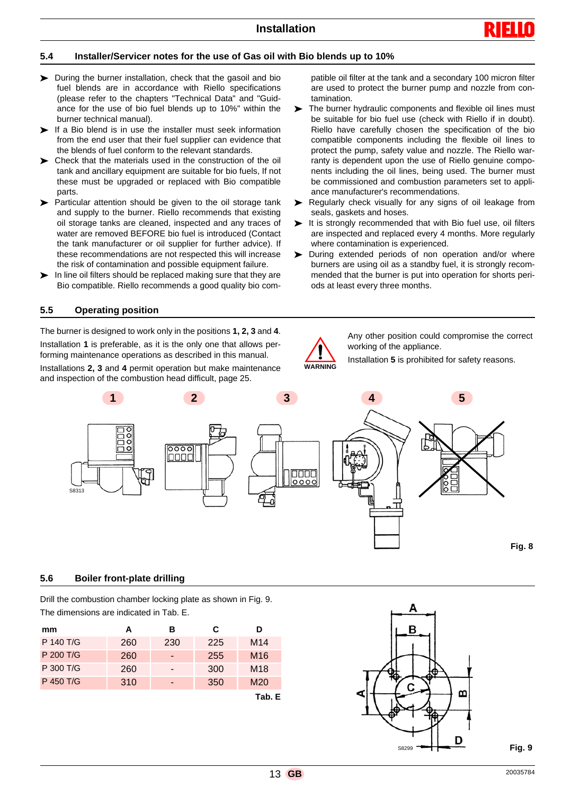

#### **5.4 Installer/Servicer notes for the use of Gas oil with Bio blends up to 10%**

- During the burner installation, check that the gasoil and bio fuel blends are in accordance with Riello specifications (please refer to the chapters "Technical Data" and "Guidance for the use of bio fuel blends up to 10%" within the burner technical manual).
- $\blacktriangleright$  If a Bio blend is in use the installer must seek information from the end user that their fuel supplier can evidence that the blends of fuel conform to the relevant standards.
- Check that the materials used in the construction of the oil tank and ancillary equipment are suitable for bio fuels, If not these must be upgraded or replaced with Bio compatible parts.
- Particular attention should be given to the oil storage tank and supply to the burner. Riello recommends that existing oil storage tanks are cleaned, inspected and any traces of water are removed BEFORE bio fuel is introduced (Contact the tank manufacturer or oil supplier for further advice). If these recommendations are not respected this will increase the risk of contamination and possible equipment failure.
- $\blacktriangleright$  In line oil filters should be replaced making sure that they are Bio compatible. Riello recommends a good quality bio com-

#### **5.5 Operating position**

The burner is designed to work only in the positions **1, 2, 3** and **4**. Installation **1** is preferable, as it is the only one that allows performing maintenance operations as described in this manual. Installations **2, 3** and **4** permit operation but make maintenance and inspection of the combustion head difficult, page 25.

patible oil filter at the tank and a secondary 100 micron filter are used to protect the burner pump and nozzle from contamination.

- The burner hydraulic components and flexible oil lines must be suitable for bio fuel use (check with Riello if in doubt). Riello have carefully chosen the specification of the bio compatible components including the flexible oil lines to protect the pump, safety value and nozzle. The Riello warranty is dependent upon the use of Riello genuine components including the oil lines, being used. The burner must be commissioned and combustion parameters set to appliance manufacturer's recommendations.
- Regularly check visually for any signs of oil leakage from seals, gaskets and hoses.
- It is strongly recommended that with Bio fuel use, oil filters are inspected and replaced every 4 months. More regularly where contamination is experienced.
- During extended periods of non operation and/or where burners are using oil as a standby fuel, it is strongly recommended that the burner is put into operation for shorts periods at least every three months.



Any other position could compromise the correct working of the appliance.

Installation **5** is prohibited for safety reasons.



#### **5.6 Boiler front-plate drilling**

Drill the combustion chamber locking plate as shown in Fig. 9. The dimensions are indicated in Tab. E.

| mm        | А   | в   | C   | D               |
|-----------|-----|-----|-----|-----------------|
| P 140 T/G | 260 | 230 | 225 | M <sub>14</sub> |
| P 200 T/G | 260 |     | 255 | M <sub>16</sub> |
| P 300 T/G | 260 |     | 300 | M <sub>18</sub> |
| P 450 T/G | 310 |     | 350 | M <sub>20</sub> |
|           |     |     |     | Tab. E          |

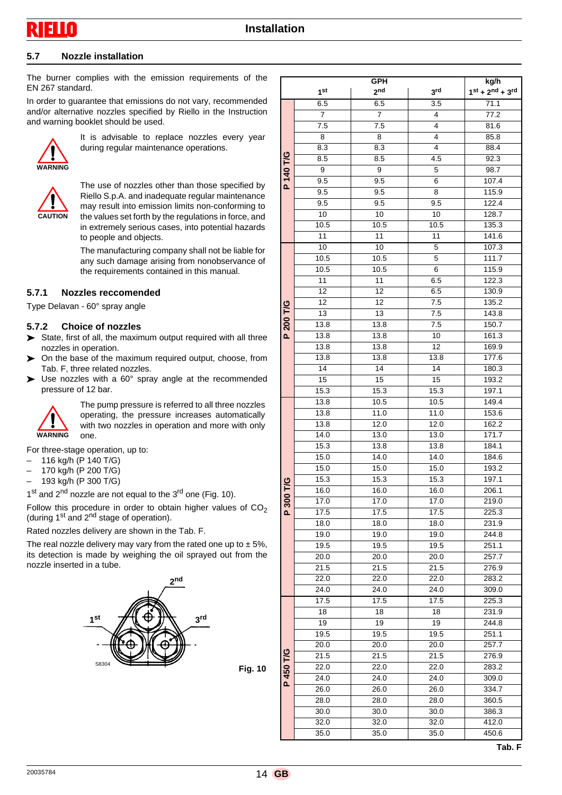**Installation**

#### **5.7 Nozzle installation**

The burner complies with the emission requirements of the EN 267 standard.

In order to guarantee that emissions do not vary, recommended and/or alternative nozzles specified by Riello in the Instruction and warning booklet should be used.



It is advisable to replace nozzles every year during regular maintenance operations.



The use of nozzles other than those specified by Riello S.p.A. and inadequate regular maintenance may result into emission limits non-conforming to the values set forth by the regulations in force, and in extremely serious cases, into potential hazards to people and objects.

The manufacturing company shall not be liable for any such damage arising from nonobservance of the requirements contained in this manual.

#### **5.7.1 Nozzles reccomended**

Type Delavan - 60° spray angle

#### **5.7.2 Choice of nozzles**

- State, first of all, the maximum output required with all three nozzles in operation.
- On the base of the maximum required output, choose, from Tab. F, three related nozzles.
- ▶ Use nozzles with a 60° spray angle at the recommended pressure of 12 bar.



The pump pressure is referred to all three nozzles operating, the pressure increases automatically with two nozzles in operation and more with only one.

For three-stage operation, up to:

- 116 kg/h (P 140 T/G)
- $-$  170 kg/h (P 200 T/G)<br> $-$  193 kg/h (P 300 T/G)
- 193 kg/h (P 300 T/G)
- $1<sup>st</sup>$  and  $2<sup>nd</sup>$  nozzle are not equal to the  $3<sup>rd</sup>$  one (Fig. 10).

Follow this procedure in order to obtain higher values of  $CO<sub>2</sub>$ (during  $1<sup>st</sup>$  and  $2<sup>nd</sup>$  stage of operation).

Rated nozzles delivery are shown in the Tab. F.

The real nozzle delivery may vary from the rated one up to  $\pm$  5%, its detection is made by weighing the oil sprayed out from the nozzle inserted in a tube.



|           |                 | GPH             |                 | kg/h                           |
|-----------|-----------------|-----------------|-----------------|--------------------------------|
|           | 1 <sup>st</sup> | 2 <sub>nd</sub> | 3 <sup>rd</sup> | $1^{st}$ + $2^{nd}$ + $3^{rd}$ |
|           | 6.5             | 6.5             | 3.5             | 71.1                           |
|           | 7               | $\overline{7}$  | 4               | 77.2                           |
|           | 7.5             | 7.5             | 4               | 81.6                           |
|           | 8               | 8               | 4               | 85.8                           |
|           | 8.3             | 8.3             | 4               | 88.4                           |
|           | 8.5             | 8.5             | 4.5             | 92.3                           |
|           | 9               | 9               | 5               | 98.7                           |
| P 140 T/G | 9.5             | 9.5             | 6               | 107.4                          |
|           | 9.5             | 9.5             | 8               | 115.9                          |
|           | 9.5             | 9.5             | 9.5             | 122.4                          |
|           | 10              | 10              | 10              | 128.7                          |
|           |                 |                 |                 | 135.3                          |
|           | 10.5<br>11      | 10.5<br>11      | 10.5            | 141.6                          |
|           |                 |                 | 11              |                                |
|           | 10              | 10              | 5               | 107.3                          |
|           | 10.5            | 10.5            | 5               | 111.7                          |
|           | 10.5            | 10.5            | 6               | 115.9                          |
|           | 11              | 11              | 6.5             | 122.3                          |
|           | 12              | 12              | 6.5             | 130.9                          |
|           | 12              | 12              | 7.5             | 135.2                          |
| 200 T/G   | 13              | 13              | 7.5             | 143.8                          |
|           | 13.8            | 13.8            | 7.5             | 150.7                          |
| <u>Δ.</u> | 13.8            | 13.8            | 10              | 161.3                          |
|           | 13.8            | 13.8            | 12              | 169.9                          |
|           | 13.8            | 13.8            | 13.8            | 177.6                          |
|           | 14              | 14              | 14              | 180.3                          |
|           | 15              | 15              | 15              | 193.2                          |
|           | 15.3            | 15.3            | 15.3            | 197.1                          |
|           | 13.8            | 10.5            | 10.5            | 149.4                          |
|           | 13.8            | 11.0            | 11.0            | 153.6                          |
|           | 13.8            | 12.0            | 12.0            | 162.2                          |
|           | 14.0            | 13.0            | 13.0            | 171.7                          |
|           | 15.3            | 13.8            | 13.8            | 184.1                          |
|           | 15.0            | 14.0            | 14.0            | 184.6                          |
|           | 15.0            | 15.0            | 15.0            | 193.2                          |
|           | 15.3            | 15.3            | 15.3            | 197.1                          |
| 300 T/G   | 16.0            | 16.0            | 16.0            | 206.1                          |
|           | 17.0            | 17.0            | 17.0            | 219.0                          |
| Δ.        | 17.5            | 17.5            | 17.5            | 225.3                          |
|           | 18.0            | 18.0            | 18.0            | 231.9                          |
|           | 19.0            | 19.0            | 19.0            | 244.8                          |
|           | 19.5            | 19.5            | 19.5            | 251.1                          |
|           | 20.0            | 20.0            | 20.0            | 257.7                          |
|           | 21.5            | 21.5            | 21.5            | 276.9                          |
|           | 22.0            |                 |                 |                                |
|           |                 | 22.0            | 22.0            | 283.2                          |
|           | 24.0            | 24.0            | 24.0            | 309.0                          |
|           | 17.5            | 17.5            | 17.5            | 225.3                          |
|           | 18              | 18              | 18              | 231.9                          |
|           | $\overline{19}$ | 19              | 19              | 244.8                          |
|           | 19.5            | 19.5            | 19.5            | 251.1                          |
|           | 20.0            | 20.0            | 20.0            | 257.7                          |
| 450 T/G   | 21.5            | 21.5            | 21.5            | 276.9                          |
|           | 22.0            | 22.0            | 22.0            | 283.2                          |
| <u>Δ.</u> | 24.0            | 24.0            | 24.0            | 309.0                          |
|           | 26.0            | 26.0            | 26.0            | 334.7                          |
|           | 28.0            | 28.0            | 28.0            | 360.5                          |
|           | 30.0            | 30.0            | 30.0            | 386.3                          |
|           | 32.0            | 32.0            | 32.0            | 412.0                          |
|           | 35.0            | 35.0            | 35.0            | 450.6                          |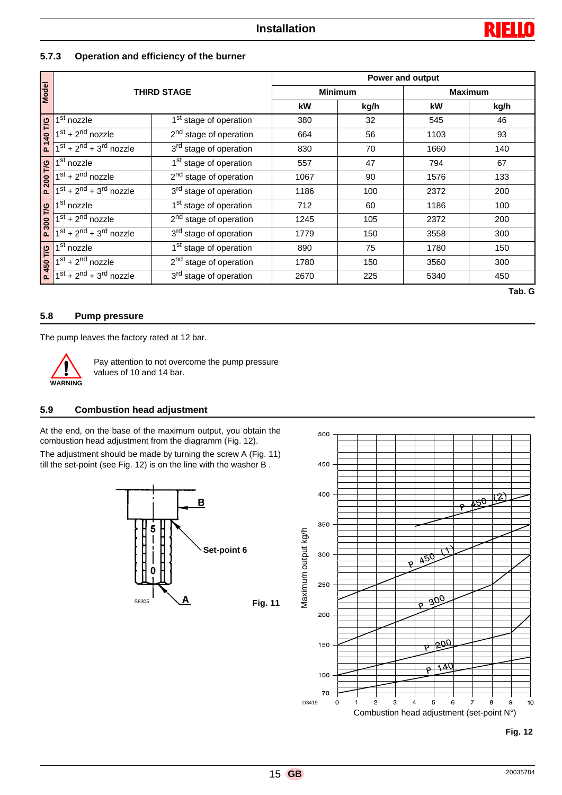

#### **5.7.3 Operation and efficiency of the burner**

|              |                                                                                                                                                                                        | Power and output                                                                                                                     |                |      |                |      |  |
|--------------|----------------------------------------------------------------------------------------------------------------------------------------------------------------------------------------|--------------------------------------------------------------------------------------------------------------------------------------|----------------|------|----------------|------|--|
| <b>Model</b> | <b>THIRD STAGE</b>                                                                                                                                                                     |                                                                                                                                      | <b>Minimum</b> |      | <b>Maximum</b> |      |  |
|              |                                                                                                                                                                                        |                                                                                                                                      | kW             | kg/h | kW             | kg/h |  |
|              | 1 <sup>st</sup> nozzle                                                                                                                                                                 | 1 <sup>st</sup> stage of operation                                                                                                   | 380            | 32   | 545            | 46   |  |
| P 140 T/G    | $1st + 2nd$ nozzle                                                                                                                                                                     | 2 <sup>nd</sup> stage of operation                                                                                                   | 664            | 56   | 1103           | 93   |  |
|              | $1st + 2nd + 3rd$ nozzle                                                                                                                                                               | 3 <sup>rd</sup> stage of operation                                                                                                   | 830            | 70   | 1660           | 140  |  |
|              | 1 <sup>st</sup> nozzle                                                                                                                                                                 | 1 <sup>st</sup> stage of operation                                                                                                   | 557            | 47   | 794            | 67   |  |
| P 200 T/G    | $\overline{1^{st}+2^{nd}}$ nozzle                                                                                                                                                      | 2 <sup>nd</sup> stage of operation                                                                                                   | 1067           | 90   | 1576           | 133  |  |
|              | $1st + 2nd + 3rd$ nozzle                                                                                                                                                               | 3 <sup>rd</sup> stage of operation                                                                                                   | 1186           | 100  | 2372           | 200  |  |
|              | $\overline{1}$ <sup>st</sup> nozzle                                                                                                                                                    | 1 <sup>st</sup> stage of operation                                                                                                   | 712            | 60   | 1186           | 100  |  |
| P 300 T/G    | $1st + 2nd$ nozzle                                                                                                                                                                     | 2 <sup>nd</sup> stage of operation                                                                                                   | 1245           | 105  | 2372           | 200  |  |
|              | $1st + 2nd + 3rd$ nozzle                                                                                                                                                               | 3 <sup>rd</sup> stage of operation                                                                                                   | 1779           | 150  | 3558           | 300  |  |
|              | 1 <sup>st</sup> nozzle                                                                                                                                                                 | 1 <sup>st</sup> stage of operation                                                                                                   | 890            | 75   | 1780           | 150  |  |
| P 450 T/G    | $1st + 2nd$ nozzle                                                                                                                                                                     | 2 <sup>nd</sup> stage of operation                                                                                                   | 1780           | 150  | 3560           | 300  |  |
|              | $1st + 2nd + 3rd$ nozzle                                                                                                                                                               | 3 <sup>rd</sup> stage of operation                                                                                                   | 2670           | 225  | 5340           | 450  |  |
|              | Tab. G<br>5.8<br><b>Pump pressure</b><br>The pump leaves the factory rated at 12 bar.<br>Pay attention to not overcome the pump pressure<br>values of 10 and 14 bar.<br><b>WARNING</b> |                                                                                                                                      |                |      |                |      |  |
| 5.9          | <b>Combustion head adjustment</b>                                                                                                                                                      |                                                                                                                                      |                |      |                |      |  |
|              |                                                                                                                                                                                        | At the end, on the base of the maximum output, you obtain the<br>combustion head adjustment from the diagramm (Fig. 12).             | $500 -$        |      |                |      |  |
|              |                                                                                                                                                                                        | The adjustment should be made by turning the screw A (Fig. 11)<br>till the set-point (see Fig. 12) is on the line with the washer B. | 450            |      |                |      |  |

### **5.8 Pump pressure**



#### **5.9 Combustion head adjustment**



500 450  $400 -$ [2] 50 350 Maximum output kg/h Maximum output kg/h300 کھ 250 200  $\frac{1}{200}$ 150  $\overline{\mathbf{A}^{\prime}}$ 100 70 D3419  $\mathbf 0$  $\overline{2}$  $\overline{3}$  $\overline{4}$  $\overline{5}$ 6 8 9  $10$ Combustion head adjustment (set-point N°)

#### **Fig. 12**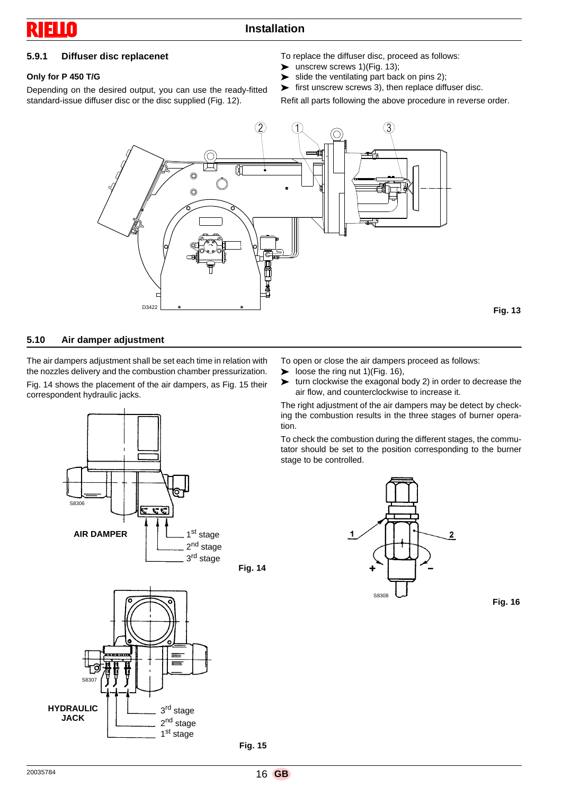## **5.9.1 Diffuser disc replacenet**

#### **Only for P 450 T/G**

Depending on the desired output, you can use the ready-fitted standard-issue diffuser disc or the disc supplied (Fig. 12).

To replace the diffuser disc, proceed as follows:

- $\triangleright$  unscrew screws 1)(Fig. 13);
- $\blacktriangleright$  slide the ventilating part back on pins 2);
- $\blacktriangleright$  first unscrew screws 3), then replace diffuser disc.

Refit all parts following the above procedure in reverse order.



#### **5.10 Air damper adjustment**

The air dampers adjustment shall be set each time in relation with the nozzles delivery and the combustion chamber pressurization. Fig. 14 shows the placement of the air dampers, as Fig. 15 their correspondent hydraulic jacks.





To open or close the air dampers proceed as follows:

- $\triangleright$  loose the ring nut 1)(Fig. 16),
- $\triangleright$  turn clockwise the exagonal body 2) in order to decrease the air flow, and counterclockwise to increase it.

The right adjustment of the air dampers may be detect by checking the combustion results in the three stages of burner operation.

To check the combustion during the different stages, the commutator should be set to the position corresponding to the burner stage to be controlled.





 **Fig. 14**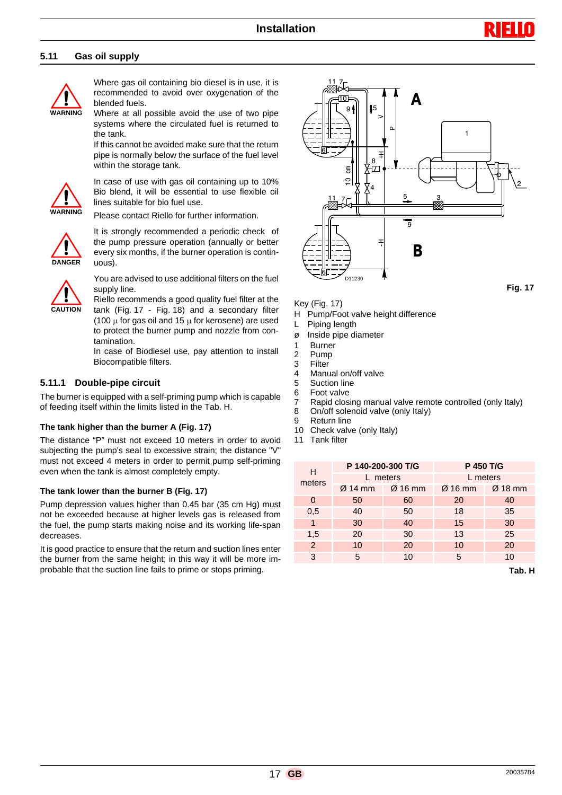#### **5.11 Gas oil supply**



Where gas oil containing bio diesel is in use, it is recommended to avoid over oxygenation of the blended fuels.

Where at all possible avoid the use of two pipe systems where the circulated fuel is returned to the tank.

If this cannot be avoided make sure that the return pipe is normally below the surface of the fuel level within the storage tank.



In case of use with gas oil containing up to 10% Bio blend, it will be essential to use flexible oil lines suitable for bio fuel use.

Please contact Riello for further information.



It is strongly recommended a periodic check of the pump pressure operation (annually or better every six months, if the burner operation is continuous).



You are advised to use additional filters on the fuel supply line.

Riello recommends a good quality fuel filter at the tank (Fig. 17 - Fig. 18) and a secondary filter (100  $\mu$  for gas oil and 15  $\mu$  for kerosene) are used to protect the burner pump and nozzle from contamination.

In case of Biodiesel use, pay attention to install Biocompatible filters.

#### **5.11.1 Double-pipe circuit**

The burner is equipped with a self-priming pump which is capable of feeding itself within the limits listed in the Tab. H.

#### **The tank higher than the burner A (Fig. 17)**

The distance "P" must not exceed 10 meters in order to avoid subjecting the pump's seal to excessive strain; the distance "V" must not exceed 4 meters in order to permit pump self-priming even when the tank is almost completely empty.

#### **The tank lower than the burner B (Fig. 17)**

Pump depression values higher than 0.45 bar (35 cm Hg) must not be exceeded because at higher levels gas is released from the fuel, the pump starts making noise and its working life-span decreases.

It is good practice to ensure that the return and suction lines enter the burner from the same height; in this way it will be more improbable that the suction line fails to prime or stops priming.



Key (Fig. 17)

- H Pump/Foot valve height difference
- L Piping length
- ø Inside pipe diameter
- 1 Burner<br>2 Pump
- Pump
- 3 Filter
- 4 Manual on/off valve
- 5 Suction line
- 6 Foot valve
- 7 Rapid closing manual valve remote controlled (only Italy)<br>8 On/off solenoid valve (only Italy)
- On/off solenoid valve (only Italy)
- 9 Return line<br>10 Check valve
- 10 Check valve (only Italy)<br>11 Tank filter
- **Tank filter**

| н      | P 140-200-300 T/G |                     | P 450 T/G           |           |  |
|--------|-------------------|---------------------|---------------------|-----------|--|
| meters | L meters          |                     | L meters            |           |  |
|        | $Ø$ 14 mm         | $\varnothing$ 16 mm | $\varnothing$ 16 mm | $Ø$ 18 mm |  |
| 0      | 50                | 60                  | 20                  | 40        |  |
| 0,5    | 40                | 50                  | 18                  | 35        |  |
| 1      | 30                | 40                  | 15                  | 30        |  |
| 1,5    | 20                | 30                  | 13                  | 25        |  |
| 2      | 10                | 20                  | 10                  | 20        |  |
| 3      | 5                 | 10                  | 5                   | 10        |  |

**Tab. H**

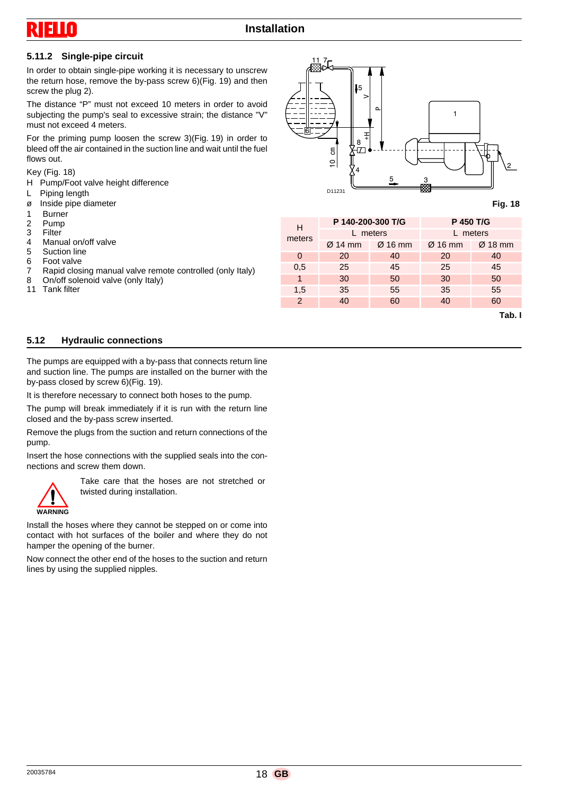

#### **5.11.2 Single-pipe circuit**

In order to obtain single-pipe working it is necessary to unscrew the return hose, remove the by-pass screw 6)(Fig. 19) and then screw the plug 2).

The distance "P" must not exceed 10 meters in order to avoid subjecting the pump's seal to excessive strain; the distance "V" must not exceed 4 meters.

For the priming pump loosen the screw 3)(Fig. 19) in order to bleed off the air contained in the suction line and wait until the fuel flows out.

#### Key (Fig. 18)

H Pump/Foot valve height difference

- L Piping length
- ø Inside pipe diameter
- 1 Burner<br>2 Pump
- 2 Pump<br>3 Filter
- 3 Filter<br>4 Manu
- Manual on/off valve
- 5 Suction line<br>6 Foot valve
- 6 Foot valve<br>7 Rapid clos
- Rapid closing manual valve remote controlled (only Italy)
- 8 On/off solenoid valve (only Italy)<br>11 Tank filter
- **Tank filter**



#### **Fig. 18**

| н        | P 140-200-300 T/G   |                     | P 450 T/G           |           |
|----------|---------------------|---------------------|---------------------|-----------|
| meters   | L meters            |                     | L meters            |           |
|          | $\varnothing$ 14 mm | $\varnothing$ 16 mm | $\varnothing$ 16 mm | $Ø$ 18 mm |
| $\Omega$ | 20                  | 40                  | 20                  | 40        |
| 0,5      | 25                  | 45                  | 25                  | 45        |
| 1        | 30                  | 50                  | 30                  | 50        |
| 1,5      | 35                  | 55                  | 35                  | 55        |
| 2        | 40                  | 60                  | 40                  | 60        |
|          |                     |                     |                     | Tab. I    |

#### **5.12 Hydraulic connections**

The pumps are equipped with a by-pass that connects return line and suction line. The pumps are installed on the burner with the by-pass closed by screw 6)(Fig. 19).

It is therefore necessary to connect both hoses to the pump.

The pump will break immediately if it is run with the return line closed and the by-pass screw inserted.

Remove the plugs from the suction and return connections of the pump.

Insert the hose connections with the supplied seals into the connections and screw them down.



Take care that the hoses are not stretched or twisted during installation.

Install the hoses where they cannot be stepped on or come into contact with hot surfaces of the boiler and where they do not hamper the opening of the burner.

Now connect the other end of the hoses to the suction and return lines by using the supplied nipples.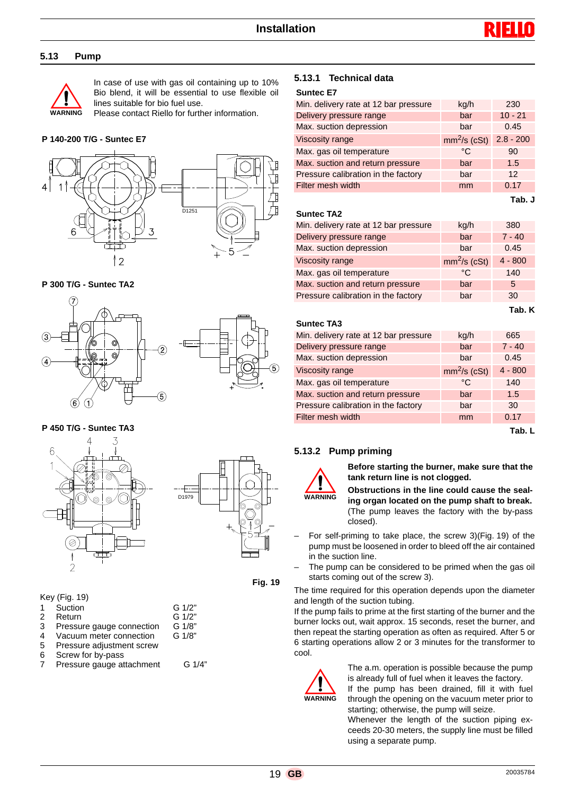#### **5.13 Pump**



In case of use with gas oil containing up to 10% Bio blend, it will be essential to use flexible oil lines suitable for bio fuel use.

Please contact Riello for further information.

#### **P 140-200 T/G - Suntec E7**



#### **P 300 T/G - Suntec TA2**





**P 450 T/G - Suntec TA3**





 **Fig. 19**

Key (Fig. 19)

- 1 Suction G 1/2"
- 2 Return G 1/2"<br>3 Pressure gauge connection G 1/8"
- 3 Pressure gauge connection G 1/8"<br>4 Vacuum meter connection G 1/8"
- Vacuum meter connection
- 5 Pressure adjustment screw<br>6 Screw for by-pass
- Screw for by-pass
- 7 Pressure gauge attachment G 1/4"

#### **5.13.1 Technical data**

#### **Suntec E7**

| Min. delivery rate at 12 bar pressure | kg/h          | 230             |
|---------------------------------------|---------------|-----------------|
| Delivery pressure range               | bar           | $10 - 21$       |
| Max. suction depression               | bar           | 0.45            |
| Viscosity range                       | $mm2/s$ (cSt) | $2.8 - 200$     |
| Max. gas oil temperature              | °C            | 90              |
| Max. suction and return pressure      | bar           | 1.5             |
| Pressure calibration in the factory   | bar           | 12 <sup>2</sup> |
| Filter mesh width                     | mm            | 0.17            |
|                                       |               | Tah J           |

**Suntec TA2**

| kg/h          | 380       |
|---------------|-----------|
| bar           | $7 - 40$  |
| bar           | 0.45      |
| $mm2/s$ (cSt) | $4 - 800$ |
| °C.           | 140       |
| bar           | 5         |
| bar           | 30        |
|               |           |

**Tab. K**

#### **Suntec TA3**

| Min. delivery rate at 12 bar pressure | kg/h          | 665       |
|---------------------------------------|---------------|-----------|
| Delivery pressure range               | bar           | $7 - 40$  |
| Max. suction depression               | bar           | 0.45      |
| Viscosity range                       | $mm2/s$ (cSt) | $4 - 800$ |
| Max. gas oil temperature              | °C            | 140       |
| Max. suction and return pressure      | bar           | 1.5       |
| Pressure calibration in the factory   | bar           | 30        |
| Filter mesh width                     | mm            | 0.17      |

**Tab. L**

#### **5.13.2 Pump priming**



**Before starting the burner, make sure that the tank return line is not clogged.** 

**Obstructions in the line could cause the sealing organ located on the pump shaft to break.** (The pump leaves the factory with the by-pass closed).

- For self-priming to take place, the screw 3)(Fig. 19) of the pump must be loosened in order to bleed off the air contained in the suction line.
- The pump can be considered to be primed when the gas oil starts coming out of the screw 3).

The time required for this operation depends upon the diameter and length of the suction tubing.

If the pump fails to prime at the first starting of the burner and the burner locks out, wait approx. 15 seconds, reset the burner, and then repeat the starting operation as often as required. After 5 or 6 starting operations allow 2 or 3 minutes for the transformer to cool.



The a.m. operation is possible because the pump is already full of fuel when it leaves the factory.

If the pump has been drained, fill it with fuel through the opening on the vacuum meter prior to starting; otherwise, the pump will seize.

Whenever the length of the suction piping exceeds 20-30 meters, the supply line must be filled using a separate pump.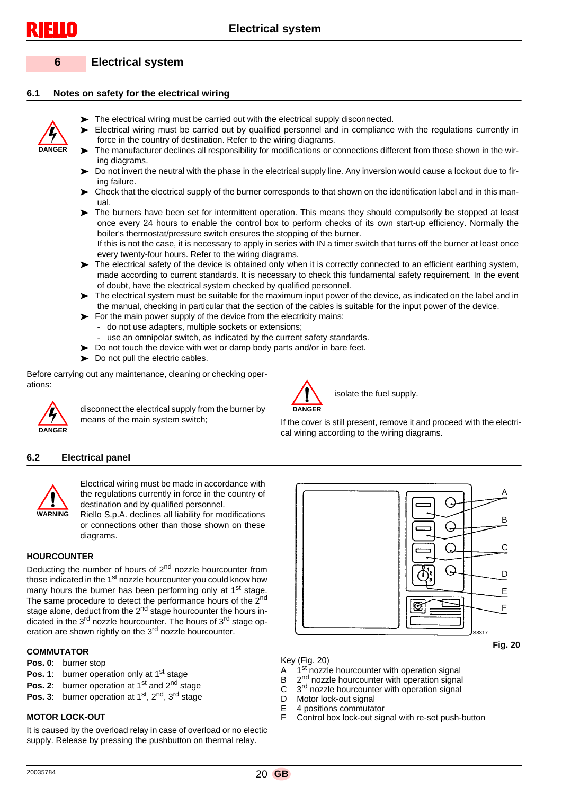**DANGER**

# **6 Electrical system**

### **6.1 Notes on safety for the electrical wiring**



- Electrical wiring must be carried out by qualified personnel and in compliance with the regulations currently in force in the country of destination. Refer to the wiring diagrams.
- The manufacturer declines all responsibility for modifications or connections different from those shown in the wiring diagrams.
- Do not invert the neutral with the phase in the electrical supply line. Any inversion would cause a lockout due to firing failure.
- $\triangleright$  Check that the electrical supply of the burner corresponds to that shown on the identification label and in this manual.
- The burners have been set for intermittent operation. This means they should compulsorily be stopped at least once every 24 hours to enable the control box to perform checks of its own start-up efficiency. Normally the boiler's thermostat/pressure switch ensures the stopping of the burner.

If this is not the case, it is necessary to apply in series with IN a timer switch that turns off the burner at least once every twenty-four hours. Refer to the wiring diagrams.

- The electrical safety of the device is obtained only when it is correctly connected to an efficient earthing system, made according to current standards. It is necessary to check this fundamental safety requirement. In the event of doubt, have the electrical system checked by qualified personnel.
- The electrical system must be suitable for the maximum input power of the device, as indicated on the label and in the manual, checking in particular that the section of the cables is suitable for the input power of the device.
- $\triangleright$  For the main power supply of the device from the electricity mains:
- do not use adapters, multiple sockets or extensions;
- use an omnipolar switch, as indicated by the current safety standards.
- $\triangleright$  Do not touch the device with wet or damp body parts and/or in bare feet.
- Do not pull the electric cables.

Before carrying out any maintenance, cleaning or checking operations:



disconnect the electrical supply from the burner by means of the main system switch;



isolate the fuel supply.

If the cover is still present, remove it and proceed with the electrical wiring according to the wiring diagrams.

#### **6.2 Electrical panel**



Electrical wiring must be made in accordance with the regulations currently in force in the country of destination and by qualified personnel.

Riello S.p.A. declines all liability for modifications or connections other than those shown on these diagrams.

#### **HOURCOUNTER**

Deducting the number of hours of 2<sup>nd</sup> nozzle hourcounter from those indicated in the 1<sup>st</sup> nozzle hourcounter you could know how many hours the burner has been performing only at 1<sup>st</sup> stage. The same procedure to detect the performance hours of the 2nd stage alone, deduct from the  $2<sup>nd</sup>$  stage hourcounter the hours indicated in the 3rd nozzle hourcounter. The hours of 3rd stage operation are shown rightly on the 3<sup>rd</sup> nozzle hourcounter.

#### **COMMUTATOR**

- **Pos. 0**: burner stop
- **Pos. 1**: burner operation only at 1<sup>st</sup> stage
- **Pos. 2:** burner operation at 1<sup>st</sup> and 2<sup>nd</sup> stage
- **Pos. 3**: burner operation at 1<sup>st</sup>, 2<sup>nd</sup>, 3<sup>rd</sup> stage

#### **MOTOR LOCK-OUT**

It is caused by the overload relay in case of overload or no electic supply. Release by pressing the pushbutton on thermal relay.



 **Fig. 20**



- A  $1<sup>st</sup>$  nozzle hourcounter with operation signal<br>B  $2<sup>nd</sup>$  nozzle hourcounter with operation signal
- B  $2<sup>nd</sup>$  nozzle hourcounter with operation signal C  $3<sup>rd</sup>$  nozzle hourcounter with operation signal
- $\overline{C}$   $\overline{3}^{\text{rd}}$  nozzle hourcounter with operation signal<br>D Motor lock-out signal
- Motor lock-out signal
- E 4 positions commutator<br>E Control box lock-out sig Control box lock-out signal with re-set push-button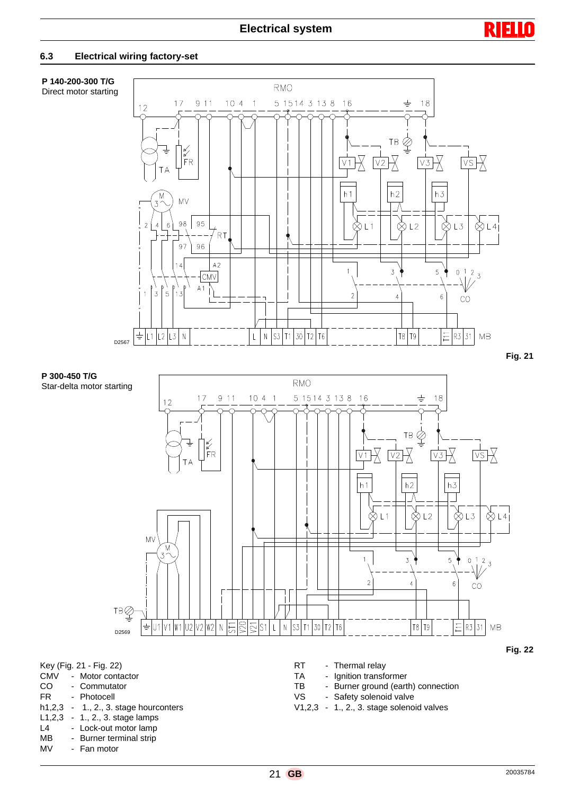

#### **6.3 Electrical wiring factory-set**

# **P 140-200-300 T/G**

Direct motor starting



 **Fig. 21**



- MB Burner terminal strip<br>MV Fan motor
- Fan motor

V1,2,3 - 1., 2., 3. stage solenoid valves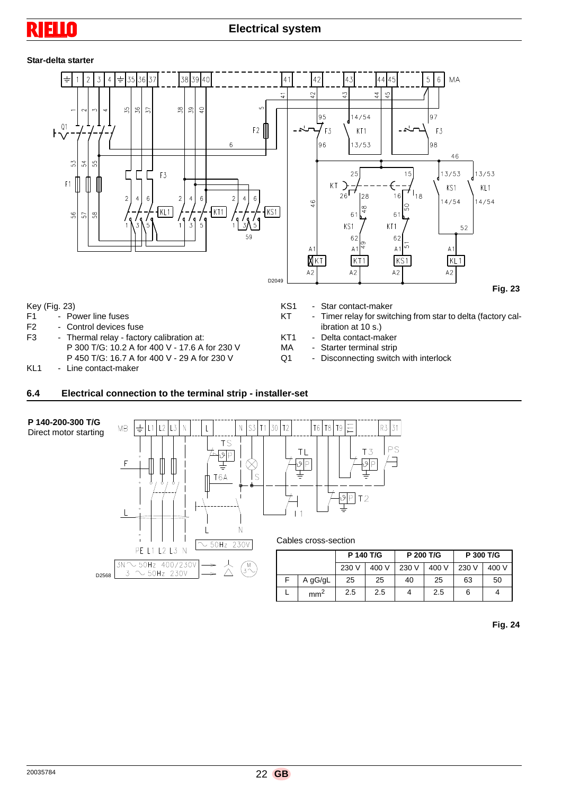# n

#### **Star-delta starter**



- F1 Power line fuses<br>F2 Control devices f Control devices fuse
- 
- F3 Thermal relay factory calibration at: P 300 T/G: 10.2 A for 400 V - 17.6 A for 230 V P 450 T/G: 16.7 A for 400 V - 29 A for 230 V
- KL1 Line contact-maker
- Timer relay for switching from star to delta (factory calibration at 10 s.)
- KT1 Delta contact-maker<br>MA Starter terminal strip
	- Starter terminal strip
- Q1 Disconnecting switch with interlock

#### **6.4 Electrical connection to the terminal strip - installer-set**



 **Fig. 24**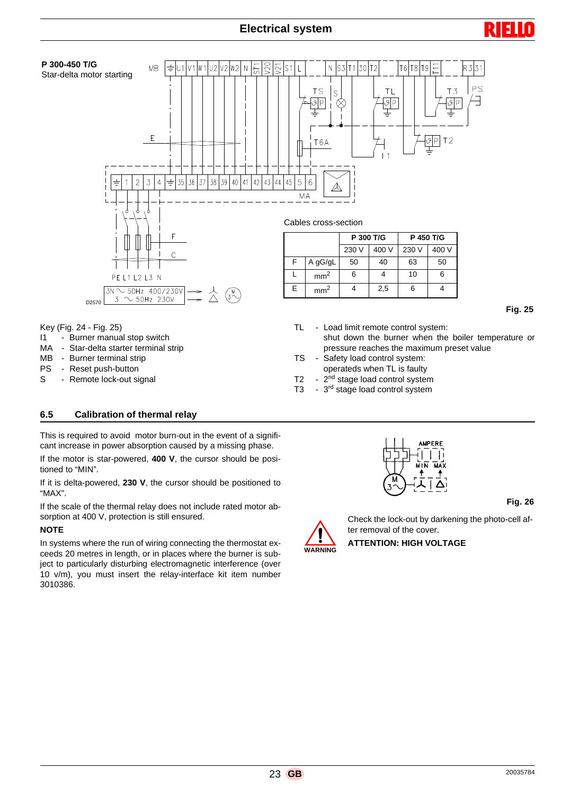

- MA Star-delta starter terminal strip
- MB Burner terminal strip
- PS Reset push-button
- S Remote lock-out signal
- pressure reaches the maximum preset value TS - Safety load control system: operateds when TL is faulty
- T2 2<sup>nd</sup> stage load control system
- T3 3<sup>rd</sup> stage load control system

#### **6.5 Calibration of thermal relay**

This is required to avoid motor burn-out in the event of a significant increase in power absorption caused by a missing phase.

If the motor is star-powered, **400 V**, the cursor should be positioned to "MIN".

If it is delta-powered, **230 V**, the cursor should be positioned to "MAX".

If the scale of the thermal relay does not include rated motor absorption at 400 V, protection is still ensured.

#### **NOTE**

In systems where the run of wiring connecting the thermostat exceeds 20 metres in length, or in places where the burner is subject to particularly disturbing electromagnetic interference (over 10 v/m), you must insert the relay-interface kit item number 3010386.



 **Fig. 26**



Check the lock-out by darkening the photo-cell after removal of the cover.

**ATTENTION: HIGH VOLTAGE**

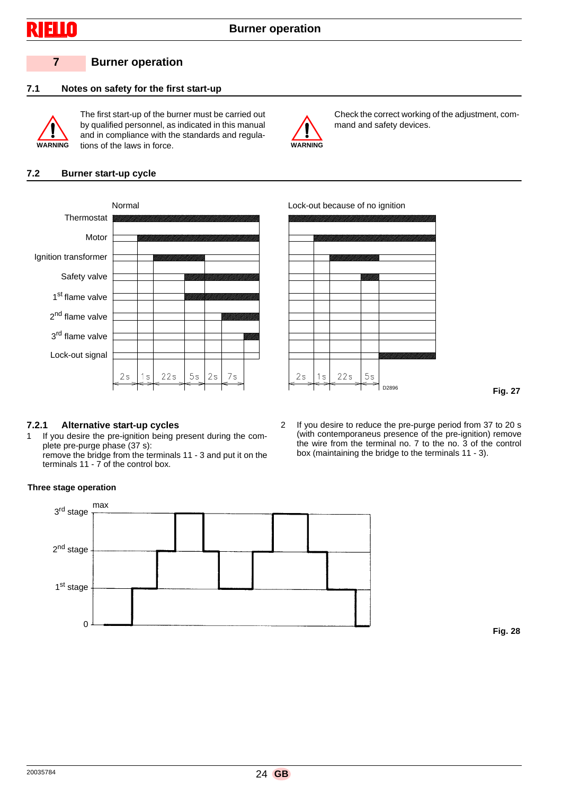

# **7 Burner operation**

# **7.1 Notes on safety for the first start-up**



The first start-up of the burner must be carried out by qualified personnel, as indicated in this manual and in compliance with the standards and regulations of the laws in force. **WARNING**



Check the correct working of the adjustment, command and safety devices.

#### **7.2 Burner start-up cycle**





 **Fig. 27**

#### **7.2.1 Alternative start-up cycles**

1 If you desire the pre-ignition being present during the complete pre-purge phase (37 s): remove the bridge from the terminals 11 - 3 and put it on the

terminals 11 - 7 of the control box.

2 If you desire to reduce the pre-purge period from 37 to 20 s (with contemporaneus presence of the pre-ignition) remove the wire from the terminal no. 7 to the no. 3 of the control box (maintaining the bridge to the terminals 11 - 3).

#### **Three stage operation**



 **Fig. 28**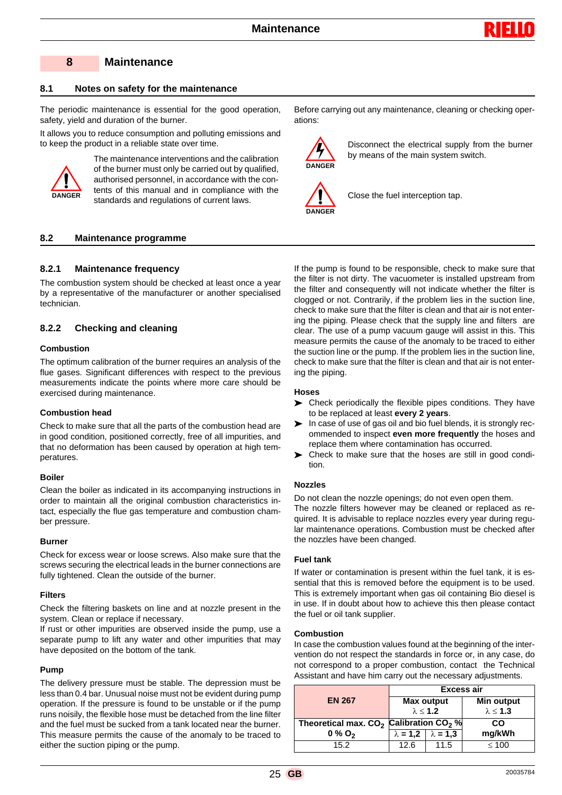

#### **8 Maintenance**

#### **8.1 Notes on safety for the maintenance**

The periodic maintenance is essential for the good operation, safety, yield and duration of the burner.

It allows you to reduce consumption and polluting emissions and to keep the product in a reliable state over time.



The maintenance interventions and the calibration of the burner must only be carried out by qualified, authorised personnel, in accordance with the contents of this manual and in compliance with the standards and regulations of current laws.

#### **8.2 Maintenance programme**

#### **8.2.1 Maintenance frequency**

The combustion system should be checked at least once a year by a representative of the manufacturer or another specialised technician.

#### **8.2.2 Checking and cleaning**

#### **Combustion**

The optimum calibration of the burner requires an analysis of the flue gases. Significant differences with respect to the previous measurements indicate the points where more care should be exercised during maintenance.

#### **Combustion head**

Check to make sure that all the parts of the combustion head are in good condition, positioned correctly, free of all impurities, and that no deformation has been caused by operation at high temperatures.

#### **Boiler**

Clean the boiler as indicated in its accompanying instructions in order to maintain all the original combustion characteristics intact, especially the flue gas temperature and combustion chamber pressure.

#### **Burner**

Check for excess wear or loose screws. Also make sure that the screws securing the electrical leads in the burner connections are fully tightened. Clean the outside of the burner.

#### **Filters**

Check the filtering baskets on line and at nozzle present in the system. Clean or replace if necessary.

If rust or other impurities are observed inside the pump, use a separate pump to lift any water and other impurities that may have deposited on the bottom of the tank.

#### **Pump**

The delivery pressure must be stable. The depression must be less than 0.4 bar. Unusual noise must not be evident during pump operation. If the pressure is found to be unstable or if the pump runs noisily, the flexible hose must be detached from the line filter and the fuel must be sucked from a tank located near the burner. This measure permits the cause of the anomaly to be traced to either the suction piping or the pump.

Before carrying out any maintenance, cleaning or checking operations:



Disconnect the electrical supply from the burner by means of the main system switch.



Close the fuel interception tap.

If the pump is found to be responsible, check to make sure that the filter is not dirty. The vacuometer is installed upstream from the filter and consequently will not indicate whether the filter is clogged or not. Contrarily, if the problem lies in the suction line, check to make sure that the filter is clean and that air is not entering the piping. Please check that the supply line and filters are clear. The use of a pump vacuum gauge will assist in this. This measure permits the cause of the anomaly to be traced to either the suction line or the pump. If the problem lies in the suction line, check to make sure that the filter is clean and that air is not entering the piping.

#### **Hoses**

- Check periodically the flexible pipes conditions. They have to be replaced at least **every 2 years**.
- $\triangleright$  In case of use of gas oil and bio fuel blends, it is strongly recommended to inspect **even more frequently** the hoses and replace them where contamination has occurred.
- Check to make sure that the hoses are still in good condition.

#### **Nozzles**

Do not clean the nozzle openings; do not even open them. The nozzle filters however may be cleaned or replaced as required. It is advisable to replace nozzles every year during regular maintenance operations. Combustion must be checked after the nozzles have been changed.

#### **Fuel tank**

If water or contamination is present within the fuel tank, it is essential that this is removed before the equipment is to be used. This is extremely important when gas oil containing Bio diesel is in use. If in doubt about how to achieve this then please contact the fuel or oil tank supplier.

#### **Combustion**

In case the combustion values found at the beginning of the intervention do not respect the standards in force or, in any case, do not correspond to a proper combustion, contact the Technical Assistant and have him carry out the necessary adjustments.

|                                                                | Excess air                              |                 |                    |  |
|----------------------------------------------------------------|-----------------------------------------|-----------------|--------------------|--|
| <b>EN 267</b>                                                  | <b>Max output</b><br>$\lambda \leq 1.2$ |                 | <b>Min output</b>  |  |
|                                                                |                                         |                 | $\lambda \leq 1.3$ |  |
| Theoretical max. CO <sub>2</sub> Calibration CO <sub>2</sub> % |                                         |                 | CO                 |  |
| $0\%$ O <sub>2</sub>                                           | $\lambda = 1.2$                         | $\lambda = 1.3$ | mg/kWh             |  |
| 15.2                                                           | 12.6                                    | 11.5            | $\leq 100$         |  |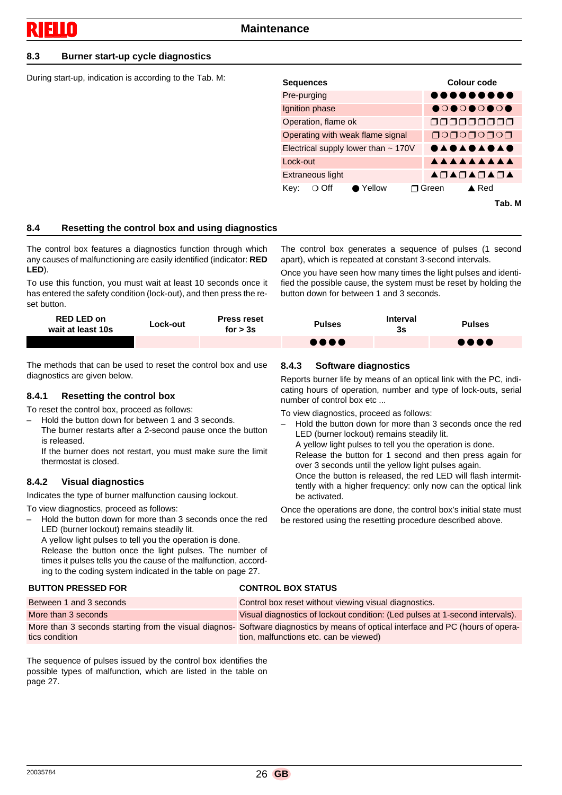#### **8.3 Burner start-up cycle diagnostics**

During start-up, indication is according to the Tab. M:

| <b>Sequences</b>                        | Colour code                |
|-----------------------------------------|----------------------------|
| Pre-purging                             |                            |
| Ignition phase                          |                            |
| Operation, flame ok                     | 000000000                  |
| Operating with weak flame signal        |                            |
| Electrical supply lower than ~ 170V     | <b>SYSTEMS</b>             |
| Lock-out                                | AAAAAAAAA                  |
| Extraneous light                        | AOAOAOAOA                  |
| $\bullet$ Yellow<br>Key:<br>$\circ$ Off | $\triangle$ Red<br>ת Green |
|                                         | Tab, M                     |

#### **8.4 Resetting the control box and using diagnostics**

The control box features a diagnostics function through which any causes of malfunctioning are easily identified (indicator: **RED LED**).

To use this function, you must wait at least 10 seconds once it has entered the safety condition (lock-out), and then press the reset button.

The control box generates a sequence of pulses (1 second apart), which is repeated at constant 3-second intervals.

Once you have seen how many times the light pulses and identified the possible cause, the system must be reset by holding the button down for between 1 and 3 seconds.

| <b>RED LED on</b><br>wait at least 10s | ∟ock-out | <b>Press reset</b><br>for $> 3s$ | <b>Pulses</b> | <b>Interval</b><br>3s | <b>Pulses</b>                     |
|----------------------------------------|----------|----------------------------------|---------------|-----------------------|-----------------------------------|
|                                        |          |                                  | ,,,,          |                       | $\bullet \bullet \bullet \bullet$ |

The methods that can be used to reset the control box and use diagnostics are given below.

#### **8.4.1 Resetting the control box**

To reset the control box, proceed as follows:

- Hold the button down for between 1 and 3 seconds.
	- The burner restarts after a 2-second pause once the button is released.

If the burner does not restart, you must make sure the limit thermostat is closed.

#### **8.4.2 Visual diagnostics**

Indicates the type of burner malfunction causing lockout.

To view diagnostics, proceed as follows:

– Hold the button down for more than 3 seconds once the red LED (burner lockout) remains steadily lit.

A yellow light pulses to tell you the operation is done. Release the button once the light pulses. The number of times it pulses tells you the cause of the malfunction, according to the coding system indicated in the table on page 27.

#### **BUTTON PRESSED FOR CONTROL BOX STATUS**

#### **8.4.3 Software diagnostics**

Reports burner life by means of an optical link with the PC, indicating hours of operation, number and type of lock-outs, serial number of control box etc ...

To view diagnostics, proceed as follows:

– Hold the button down for more than 3 seconds once the red LED (burner lockout) remains steadily lit. A yellow light pulses to tell you the operation is done. Release the button for 1 second and then press again for over 3 seconds until the yellow light pulses again. Once the button is released, the red LED will flash intermittently with a higher frequency: only now can the optical link be activated.

Once the operations are done, the control box's initial state must be restored using the resetting procedure described above.

| -------------------     |                                                                                                                                                                            |
|-------------------------|----------------------------------------------------------------------------------------------------------------------------------------------------------------------------|
| Between 1 and 3 seconds | Control box reset without viewing visual diagnostics.                                                                                                                      |
| More than 3 seconds     | Visual diagnostics of lockout condition: (Led pulses at 1-second intervals).                                                                                               |
| tics condition          | More than 3 seconds starting from the visual diagnos- Software diagnostics by means of optical interface and PC (hours of opera-<br>tion, malfunctions etc. can be viewed) |

The sequence of pulses issued by the control box identifies the possible types of malfunction, which are listed in the table on page 27.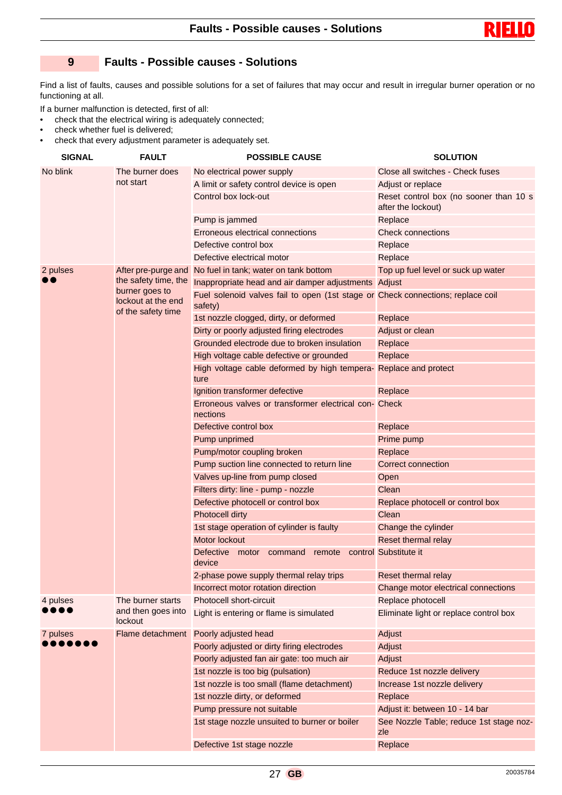

## **9 Faults - Possible causes - Solutions**

Find a list of faults, causes and possible solutions for a set of failures that may occur and result in irregular burner operation or no functioning at all.

If a burner malfunction is detected, first of all:

- check that the electrical wiring is adequately connected;
- check whether fuel is delivered;
- check that every adjustment parameter is adequately set.

| <b>SIGNAL</b> | <b>FAULT</b>                                               | <b>POSSIBLE CAUSE</b>                                                                      | <b>SOLUTION</b>                                              |
|---------------|------------------------------------------------------------|--------------------------------------------------------------------------------------------|--------------------------------------------------------------|
| No blink      | The burner does<br>not start                               | No electrical power supply                                                                 | Close all switches - Check fuses                             |
|               |                                                            | A limit or safety control device is open                                                   | Adjust or replace                                            |
|               |                                                            | Control box lock-out                                                                       | Reset control box (no sooner than 10 s<br>after the lockout) |
|               |                                                            | Pump is jammed                                                                             | Replace                                                      |
|               |                                                            | Erroneous electrical connections                                                           | Check connections                                            |
|               |                                                            | Defective control box                                                                      | Replace                                                      |
|               |                                                            | Defective electrical motor                                                                 | Replace                                                      |
| 2 pulses      |                                                            | After pre-purge and No fuel in tank; water on tank bottom                                  | Top up fuel level or suck up water                           |
|               | the safety time, the                                       | Inappropriate head and air damper adjustments Adjust                                       |                                                              |
|               | burner goes to<br>lockout at the end<br>of the safety time | Fuel solenoid valves fail to open (1st stage or Check connections; replace coil<br>safety) |                                                              |
|               |                                                            | 1st nozzle clogged, dirty, or deformed                                                     | Replace                                                      |
|               |                                                            | Dirty or poorly adjusted firing electrodes                                                 | Adjust or clean                                              |
|               |                                                            | Grounded electrode due to broken insulation                                                | Replace                                                      |
|               |                                                            | High voltage cable defective or grounded                                                   | Replace                                                      |
|               |                                                            | High voltage cable deformed by high tempera- Replace and protect<br>ture                   |                                                              |
|               |                                                            | Ignition transformer defective                                                             | Replace                                                      |
|               |                                                            | Erroneous valves or transformer electrical con- Check<br>nections                          |                                                              |
|               |                                                            | Defective control box                                                                      | Replace                                                      |
|               |                                                            | Pump unprimed                                                                              | Prime pump                                                   |
|               |                                                            | Pump/motor coupling broken                                                                 | Replace                                                      |
|               |                                                            | Pump suction line connected to return line                                                 | Correct connection                                           |
|               |                                                            | Valves up-line from pump closed                                                            | Open                                                         |
|               |                                                            | Filters dirty: line - pump - nozzle                                                        | Clean                                                        |
|               |                                                            | Defective photocell or control box                                                         | Replace photocell or control box                             |
|               |                                                            | Photocell dirty                                                                            | Clean                                                        |
|               |                                                            | 1st stage operation of cylinder is faulty                                                  | Change the cylinder                                          |
|               |                                                            | Motor lockout                                                                              | Reset thermal relay                                          |
|               |                                                            | <b>Defective</b><br>motor command<br>remote<br>device                                      | control Substitute it                                        |
|               |                                                            | 2-phase powe supply thermal relay trips                                                    | Reset thermal relay                                          |
|               |                                                            | Incorrect motor rotation direction                                                         | Change motor electrical connections                          |
| 4 pulses      | The burner starts                                          | Photocell short-circuit                                                                    | Replace photocell                                            |
|               | and then goes into<br>lockout                              | Light is entering or flame is simulated                                                    | Eliminate light or replace control box                       |
| 7 pulses      | Flame detachment                                           | Poorly adjusted head                                                                       | Adjust                                                       |
|               |                                                            | Poorly adjusted or dirty firing electrodes                                                 | Adjust                                                       |
|               |                                                            | Poorly adjusted fan air gate: too much air                                                 | Adjust                                                       |
|               |                                                            | 1st nozzle is too big (pulsation)                                                          | Reduce 1st nozzle delivery                                   |
|               |                                                            | 1st nozzle is too small (flame detachment)                                                 | Increase 1st nozzle delivery                                 |
|               |                                                            | 1st nozzle dirty, or deformed                                                              | Replace                                                      |
|               |                                                            | Pump pressure not suitable                                                                 | Adjust it: between 10 - 14 bar                               |
|               |                                                            | 1st stage nozzle unsuited to burner or boiler                                              | See Nozzle Table; reduce 1st stage noz-<br>zle               |
|               |                                                            | Defective 1st stage nozzle                                                                 | Replace                                                      |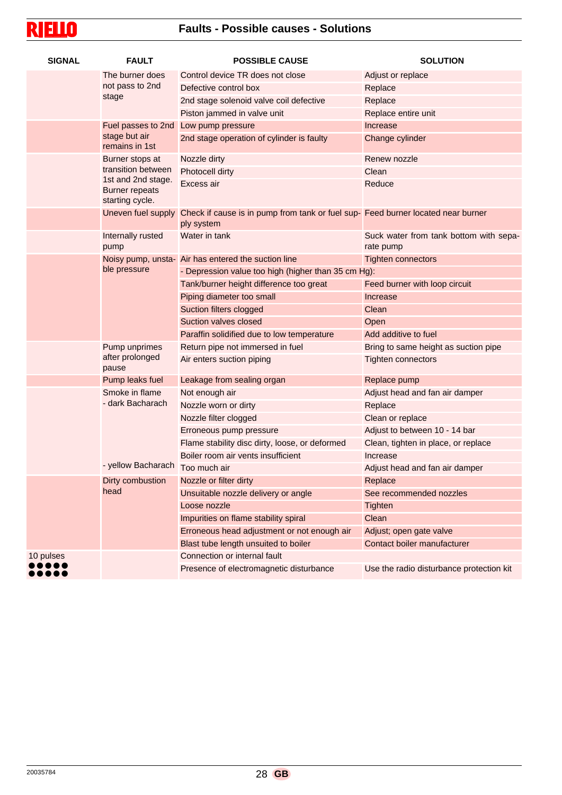# **Faults - Possible causes - Solutions**

| <b>SIGNAL</b>            | <b>FAULT</b>                                                   | <b>POSSIBLE CAUSE</b>                                                                                             | <b>SOLUTION</b>                                     |  |
|--------------------------|----------------------------------------------------------------|-------------------------------------------------------------------------------------------------------------------|-----------------------------------------------------|--|
|                          | The burner does                                                | Control device TR does not close                                                                                  | Adjust or replace                                   |  |
|                          | not pass to 2nd                                                | Defective control box                                                                                             | Replace                                             |  |
|                          | stage                                                          | 2nd stage solenoid valve coil defective                                                                           | Replace                                             |  |
|                          |                                                                | Piston jammed in valve unit                                                                                       | Replace entire unit                                 |  |
|                          |                                                                | Fuel passes to 2nd Low pump pressure                                                                              | Increase                                            |  |
|                          | stage but air<br>remains in 1st                                | 2nd stage operation of cylinder is faulty                                                                         | Change cylinder                                     |  |
|                          | Burner stops at                                                | Nozzle dirty                                                                                                      | Renew nozzle                                        |  |
|                          | transition between                                             | <b>Photocell dirty</b>                                                                                            | Clean                                               |  |
|                          | 1st and 2nd stage.<br><b>Burner repeats</b><br>starting cycle. | Excess air                                                                                                        | Reduce                                              |  |
|                          |                                                                | Uneven fuel supply Check if cause is in pump from tank or fuel sup- Feed burner located near burner<br>ply system |                                                     |  |
|                          | Internally rusted<br>pump                                      | Water in tank                                                                                                     | Suck water from tank bottom with sepa-<br>rate pump |  |
|                          |                                                                | Noisy pump, unsta- Air has entered the suction line                                                               | <b>Tighten connectors</b>                           |  |
|                          | ble pressure                                                   | - Depression value too high (higher than 35 cm Hg):                                                               |                                                     |  |
|                          |                                                                | Tank/burner height difference too great                                                                           | Feed burner with loop circuit                       |  |
|                          |                                                                | Piping diameter too small                                                                                         | Increase                                            |  |
|                          |                                                                | Suction filters clogged                                                                                           | Clean                                               |  |
|                          |                                                                | Suction valves closed                                                                                             | Open                                                |  |
|                          |                                                                | Paraffin solidified due to low temperature                                                                        | Add additive to fuel                                |  |
|                          | Pump unprimes                                                  | Return pipe not immersed in fuel                                                                                  | Bring to same height as suction pipe                |  |
|                          | after prolonged<br>pause                                       | Air enters suction piping                                                                                         | <b>Tighten connectors</b>                           |  |
|                          | Pump leaks fuel                                                | Leakage from sealing organ                                                                                        | Replace pump                                        |  |
|                          | Smoke in flame                                                 | Not enough air                                                                                                    | Adjust head and fan air damper                      |  |
|                          | - dark Bacharach                                               | Nozzle worn or dirty                                                                                              | Replace                                             |  |
|                          |                                                                | Nozzle filter clogged                                                                                             | Clean or replace                                    |  |
|                          |                                                                | Erroneous pump pressure                                                                                           | Adjust to between 10 - 14 bar                       |  |
|                          |                                                                | Flame stability disc dirty, loose, or deformed                                                                    | Clean, tighten in place, or replace                 |  |
|                          |                                                                | Boiler room air vents insufficient                                                                                | Increase                                            |  |
|                          | - yellow Bacharach Too much air                                |                                                                                                                   | Adjust head and fan air damper                      |  |
| Dirty combustion<br>head |                                                                | Nozzle or filter dirty                                                                                            | Replace                                             |  |
|                          |                                                                | Unsuitable nozzle delivery or angle                                                                               | See recommended nozzles                             |  |
|                          |                                                                | Loose nozzle                                                                                                      | <b>Tighten</b>                                      |  |
|                          |                                                                | Impurities on flame stability spiral                                                                              | Clean                                               |  |
|                          |                                                                | Erroneous head adjustment or not enough air                                                                       | Adjust; open gate valve                             |  |
|                          |                                                                | Blast tube length unsuited to boiler                                                                              | Contact boiler manufacturer                         |  |
| 10 pulses                |                                                                | Connection or internal fault                                                                                      |                                                     |  |
|                          |                                                                | Presence of electromagnetic disturbance                                                                           | Use the radio disturbance protection kit            |  |

**RIELLO**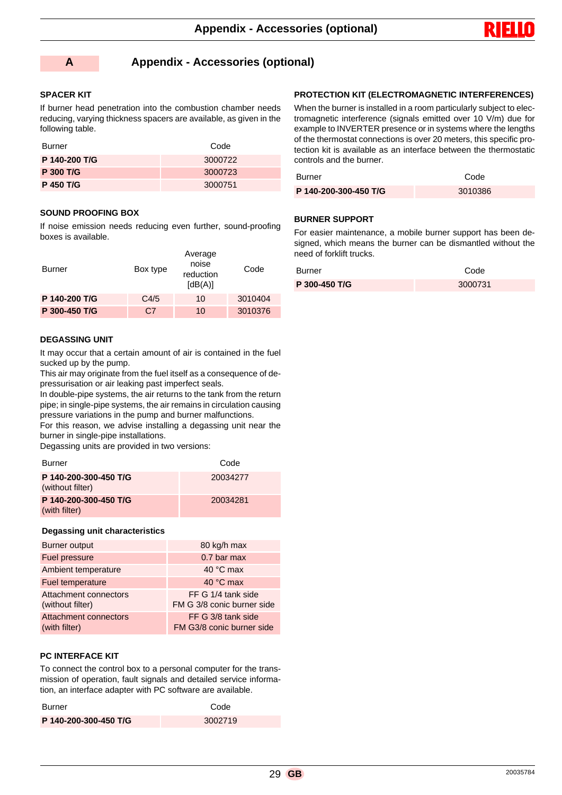



#### **A Appendix - Accessories (optional)**

#### **SPACER KIT**

If burner head penetration into the combustion chamber needs reducing, varying thickness spacers are available, as given in the following table.

| Burner           | Code    |
|------------------|---------|
| P 140-200 T/G    | 3000722 |
| <b>P 300 T/G</b> | 3000723 |
| <b>P 450 T/G</b> | 3000751 |

#### **SOUND PROOFING BOX**

If noise emission needs reducing even further, sound-proofing boxes is available.

| Burner        | Box type | Average<br>noise<br>reduction<br>[dB(A)] | Code    |
|---------------|----------|------------------------------------------|---------|
| P 140-200 T/G | C4/5     | 10                                       | 3010404 |
| P 300-450 T/G | C.7      | 10                                       | 3010376 |

#### **DEGASSING UNIT**

It may occur that a certain amount of air is contained in the fuel sucked up by the pump.

This air may originate from the fuel itself as a consequence of depressurisation or air leaking past imperfect seals.

In double-pipe systems, the air returns to the tank from the return pipe; in single-pipe systems, the air remains in circulation causing pressure variations in the pump and burner malfunctions.

For this reason, we advise installing a degassing unit near the burner in single-pipe installations.

Degassing units are provided in two versions:

| <b>Burner</b>                             | Code     |
|-------------------------------------------|----------|
| P 140-200-300-450 T/G<br>(without filter) | 20034277 |
| P 140-200-300-450 T/G<br>(with filter)    | 20034281 |

#### **Degassing unit characteristics**

| Burner output                                 | 80 kg/h max                                      |
|-----------------------------------------------|--------------------------------------------------|
| Fuel pressure                                 | 0.7 bar max                                      |
| Ambient temperature                           | 40 °C max                                        |
| Fuel temperature                              | 40 °C max                                        |
| Attachment connectors<br>(without filter)     | FF G 1/4 tank side<br>FM G 3/8 conic burner side |
| <b>Attachment connectors</b><br>(with filter) | FF G 3/8 tank side<br>FM G3/8 conic burner side  |

#### **PC INTERFACE KIT**

To connect the control box to a personal computer for the transmission of operation, fault signals and detailed service information, an interface adapter with PC software are available.

| Burner                | Code    |
|-----------------------|---------|
| P 140-200-300-450 T/G | 3002719 |

#### **PROTECTION KIT (ELECTROMAGNETIC INTERFERENCES)**

When the burner is installed in a room particularly subject to electromagnetic interference (signals emitted over 10 V/m) due for example to INVERTER presence or in systems where the lengths of the thermostat connections is over 20 meters, this specific protection kit is available as an interface between the thermostatic controls and the burner.

| <b>Burner</b>         | Code    |  |
|-----------------------|---------|--|
| P 140-200-300-450 T/G | 3010386 |  |

#### **BURNER SUPPORT**

For easier maintenance, a mobile burner support has been designed, which means the burner can be dismantled without the need of forklift trucks.

| <b>Burner</b> | Code    |
|---------------|---------|
| P 300-450 T/G | 3000731 |